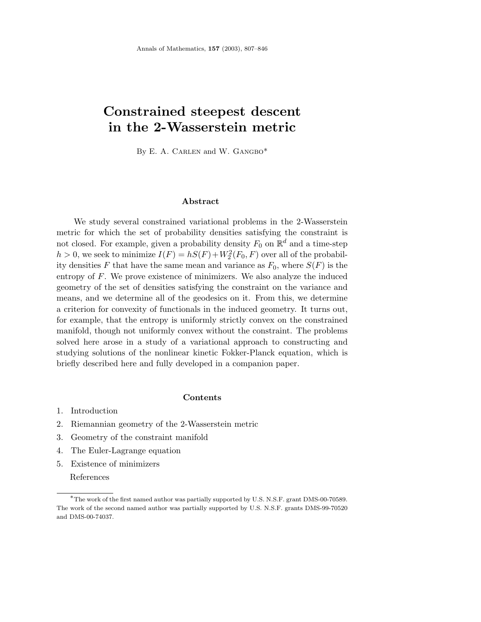# **Constrained steepest descent in the 2-Wasserstein metric**

By E. A. CARLEN and W. GANGBO\*

## **Abstract**

We study several constrained variational problems in the 2-Wasserstein metric for which the set of probability densities satisfying the constraint is not closed. For example, given a probability density  $F_0$  on  $\mathbb{R}^d$  and a time-step  $h > 0$ , we seek to minimize  $I(F) = hS(F) + W_2^2(F_0, F)$  over all of the probability densities  $F$  that have the same mean and variance as  $F_0$ , where  $S(F)$  is the entropy of *F*. We prove existence of minimizers. We also analyze the induced geometry of the set of densities satisfying the constraint on the variance and means, and we determine all of the geodesics on it. From this, we determine a criterion for convexity of functionals in the induced geometry. It turns out, for example, that the entropy is uniformly strictly convex on the constrained manifold, though not uniformly convex without the constraint. The problems solved here arose in a study of a variational approach to constructing and studying solutions of the nonlinear kinetic Fokker-Planck equation, which is briefly described here and fully developed in a companion paper.

#### **Contents**

- 1. Introduction
- 2. Riemannian geometry of the 2-Wasserstein metric
- 3. Geometry of the constraint manifold
- 4. The Euler-Lagrange equation
- 5. Existence of minimizers

References

<sup>∗</sup>The work of the first named author was partially supported by U.S. N.S.F. grant DMS-00-70589. The work of the second named author was partially supported by U.S. N.S.F. grants DMS-99-70520 and DMS-00-74037.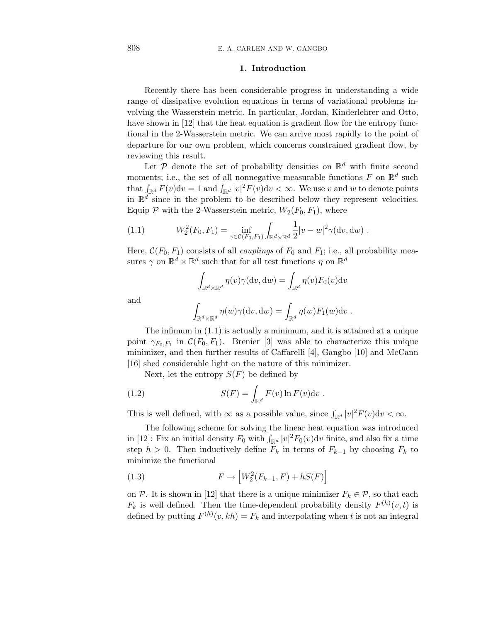### **1. Introduction**

Recently there has been considerable progress in understanding a wide range of dissipative evolution equations in terms of variational problems involving the Wasserstein metric. In particular, Jordan, Kinderlehrer and Otto, have shown in [12] that the heat equation is gradient flow for the entropy functional in the 2-Wasserstein metric. We can arrive most rapidly to the point of departure for our own problem, which concerns constrained gradient flow, by reviewing this result.

Let  $P$  denote the set of probability densities on  $\mathbb{R}^d$  with finite second moments; i.e., the set of all nonnegative measurable functions  $F$  on  $\mathbb{R}^d$  such that  $\int_{\mathbb{R}^d} F(v) dv = 1$  and  $\int_{\mathbb{R}^d} |v|^2 F(v) dv < \infty$ . We use *v* and *w* to denote points in  $\mathbb{R}^d$  since in the problem to be described below they represent velocities. Equip  $P$  with the 2-Wasserstein metric,  $W_2(F_0, F_1)$ , where

(1.1) 
$$
W_2^2(F_0, F_1) = \inf_{\gamma \in \mathcal{C}(F_0, F_1)} \int_{\mathbb{R}^d \times \mathbb{R}^d} \frac{1}{2} |v - w|^2 \gamma(\mathrm{d} v, \mathrm{d} w) .
$$

Here,  $C(F_0, F_1)$  consists of all *couplings* of  $F_0$  and  $F_1$ ; i.e., all probability measures  $\gamma$  on  $\mathbb{R}^d \times \mathbb{R}^d$  such that for all test functions  $\eta$  on  $\mathbb{R}^d$ 

$$
\int_{\mathbb{R}^d \times \mathbb{R}^d} \eta(v) \gamma(\mathrm{d}v, \mathrm{d}w) = \int_{\mathbb{R}^d} \eta(v) F_0(v) \mathrm{d}v
$$

$$
\int_{\mathbb{R}^d \times \mathbb{R}^d} \eta(w) \gamma(\mathrm{d}v, \mathrm{d}w) = \int_{\mathbb{R}^d} \eta(w) F_1(w) \mathrm{d}v.
$$

and  $\overline{\phantom{a}}$ 

The infimum in (1.1) is actually a minimum, and it is attained at a unique  
point 
$$
\gamma_{F_0,F_1}
$$
 in  $\mathcal{C}(F_0, F_1)$ . Brenier [3] was able to characterize this unique  
minimize, and then further results of Caffarelli [4], Gangbo [10] and McCann  
[16] shed considerable light on the nature of this minimizer.

Next, let the entropy  $S(F)$  be defined by

(1.2) 
$$
S(F) = \int_{\mathbb{R}^d} F(v) \ln F(v) \mathrm{d}v.
$$

This is well defined, with  $\infty$  as a possible value, since  $\int_{\mathbb{R}^d} |v|^2 F(v) dv < \infty$ .

The following scheme for solving the linear heat equation was introduced in [12]: Fix an initial density  $F_0$  with  $\int_{\mathbb{R}^d} |v|^2 F_0(v) dv$  finite, and also fix a time step *h* > 0. Then inductively define  $F_k$  in terms of  $F_{k-1}$  by choosing  $F_k$  to minimize the functional

(1.3) 
$$
F \rightarrow \left[W_2^2(F_{k-1}, F) + hS(F)\right]
$$

on P. It is shown in [12] that there is a unique minimizer  $F_k \in \mathcal{P}$ , so that each  $F_k$  is well defined. Then the time-dependent probability density  $F^{(h)}(v,t)$  is defined by putting  $F^{(h)}(v, kh) = F_k$  and interpolating when *t* is not an integral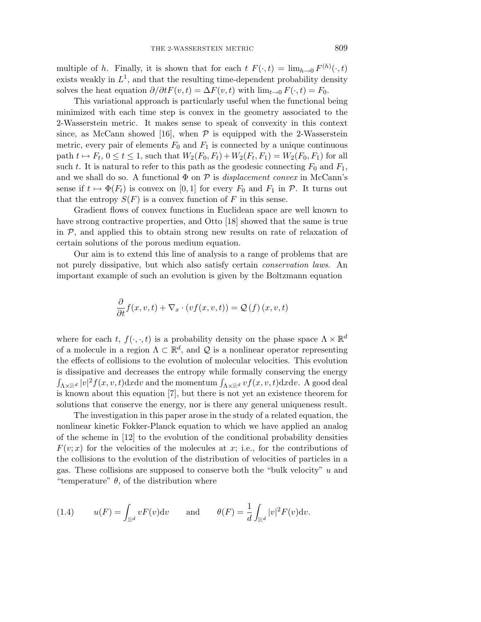multiple of *h*. Finally, it is shown that for each  $t F(\cdot, t) = \lim_{h \to 0} F^{(h)}(\cdot, t)$ exists weakly in  $L^1$ , and that the resulting time-dependent probability density solves the heat equation  $\partial/\partial t F(v, t) = \Delta F(v, t)$  with  $\lim_{t\to 0} F(\cdot, t) = F_0$ .

This variational approach is particularly useful when the functional being minimized with each time step is convex in the geometry associated to the 2-Wasserstein metric. It makes sense to speak of convexity in this context since, as McCann showed [16], when  $P$  is equipped with the 2-Wasserstein metric, every pair of elements  $F_0$  and  $F_1$  is connected by a unique continuous path  $t \mapsto F_t$ ,  $0 \le t \le 1$ , such that  $W_2(F_0, F_t) + W_2(F_t, F_1) = W_2(F_0, F_1)$  for all such *t*. It is natural to refer to this path as the geodesic connecting  $F_0$  and  $F_1$ , and we shall do so. A functional  $\Phi$  on  $\mathcal P$  is *displacement convex* in McCann's sense if  $t \mapsto \Phi(F_t)$  is convex on [0, 1] for every  $F_0$  and  $F_1$  in  $\mathcal{P}$ . It turns out that the entropy  $S(F)$  is a convex function of F in this sense.

Gradient flows of convex functions in Euclidean space are well known to have strong contractive properties, and Otto [18] showed that the same is true in  $P$ , and applied this to obtain strong new results on rate of relaxation of certain solutions of the porous medium equation.

Our aim is to extend this line of analysis to a range of problems that are not purely dissipative, but which also satisfy certain conservation laws. An important example of such an evolution is given by the Boltzmann equation

$$
\frac{\partial}{\partial t} f(x, v, t) + \nabla_x \cdot (vf(x, v, t)) = \mathcal{Q}(f)(x, v, t)
$$

where for each *t*,  $f(\cdot, \cdot, t)$  is a probability density on the phase space  $\Lambda \times \mathbb{R}^d$ of a molecule in a region  $\Lambda \subset \mathbb{R}^d$ , and  $\mathcal Q$  is a nonlinear operator representing the effects of collisions to the evolution of molecular velocities. This evolution is dissipative and decreases the entropy while formally conserving the energy  $\int_{\Lambda\times\mathbb{R}^d} |v|^2 f(x, v, t) \mathrm{d}x \mathrm{d}v$  and the momentum  $\int_{\Lambda\times\mathbb{R}^d} v f(x, v, t) \mathrm{d}x \mathrm{d}v$ . A good deal is known about this equation [7], but there is not yet an existence theorem for solutions that conserve the energy, nor is there any general uniqueness result.

The investigation in this paper arose in the study of a related equation, the nonlinear kinetic Fokker-Planck equation to which we have applied an analog of the scheme in [12] to the evolution of the conditional probability densities  $F(v; x)$  for the velocities of the molecules at *x*; i.e., for the contributions of the collisions to the evolution of the distribution of velocities of particles in a gas. These collisions are supposed to conserve both the "bulk velocity" *u* and "temperature"  $\theta$ , of the distribution where

(1.4) 
$$
u(F) = \int_{\mathbb{R}^d} v F(v) \mathrm{d}v \quad \text{and} \quad \theta(F) = \frac{1}{d} \int_{\mathbb{R}^d} |v|^2 F(v) \mathrm{d}v.
$$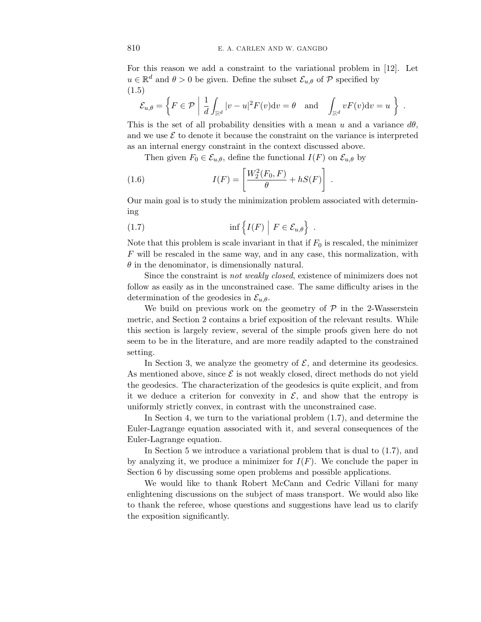For this reason we add a constraint to the variational problem in [12]. Let  $u \in \mathbb{R}^d$  and  $\theta > 0$  be given. Define the subset  $\mathcal{E}_{u,\theta}$  of P specified by (1.5)

$$
\mathcal{E}_{u,\theta} = \left\{ F \in \mathcal{P} \mid \frac{1}{d} \int_{\mathbb{R}^d} |v - u|^2 F(v) \mathrm{d}v = \theta \quad \text{and} \quad \int_{\mathbb{R}^d} v F(v) \mathrm{d}v = u \right\} .
$$

This is the set of all probability densities with a mean  $u$  and a variance  $d\theta$ , and we use  $\mathcal E$  to denote it because the constraint on the variance is interpreted as an internal energy constraint in the context discussed above.

Then given  $F_0 \in \mathcal{E}_{u,\theta}$ , define the functional  $I(F)$  on  $\mathcal{E}_{u,\theta}$  by

(1.6) 
$$
I(F) = \left[ \frac{W_2^2(F_0, F)}{\theta} + hS(F) \right] .
$$

Our main goal is to study the minimization problem associated with determining

(1.7) 
$$
\inf \{ I(F) \mid F \in \mathcal{E}_{u,\theta} \} .
$$

Note that this problem is scale invariant in that if  $F_0$  is rescaled, the minimizer *F* will be rescaled in the same way, and in any case, this normalization, with *θ* in the denominator, is dimensionally natural.

Since the constraint is not weakly closed, existence of minimizers does not follow as easily as in the unconstrained case. The same difficulty arises in the determination of the geodesics in  $\mathcal{E}_{u,\theta}$ .

We build on previous work on the geometry of  $P$  in the 2-Wasserstein metric, and Section 2 contains a brief exposition of the relevant results. While this section is largely review, several of the simple proofs given here do not seem to be in the literature, and are more readily adapted to the constrained setting.

In Section 3, we analyze the geometry of  $\mathcal{E}$ , and determine its geodesics. As mentioned above, since  $\mathcal E$  is not weakly closed, direct methods do not yield the geodesics. The characterization of the geodesics is quite explicit, and from it we deduce a criterion for convexity in  $\mathcal{E}$ , and show that the entropy is uniformly strictly convex, in contrast with the unconstrained case.

In Section 4, we turn to the variational problem (1.7), and determine the Euler-Lagrange equation associated with it, and several consequences of the Euler-Lagrange equation.

In Section 5 we introduce a variational problem that is dual to (1.7), and by analyzing it, we produce a minimizer for  $I(F)$ . We conclude the paper in Section 6 by discussing some open problems and possible applications.

We would like to thank Robert McCann and Cedric Villani for many enlightening discussions on the subject of mass transport. We would also like to thank the referee, whose questions and suggestions have lead us to clarify the exposition significantly.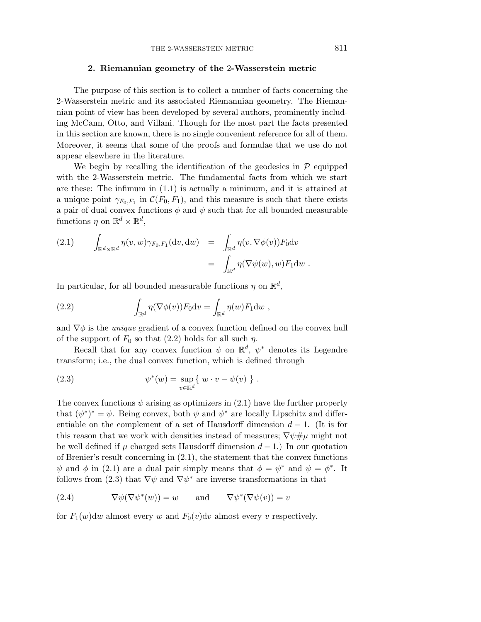## **2. Riemannian geometry of the** 2**-Wasserstein metric**

The purpose of this section is to collect a number of facts concerning the 2-Wasserstein metric and its associated Riemannian geometry. The Riemannian point of view has been developed by several authors, prominently including McCann, Otto, and Villani. Though for the most part the facts presented in this section are known, there is no single convenient reference for all of them. Moreover, it seems that some of the proofs and formulae that we use do not appear elsewhere in the literature.

We begin by recalling the identification of the geodesics in  $P$  equipped with the 2-Wasserstein metric. The fundamental facts from which we start are these: The infimum in (1.1) is actually a minimum, and it is attained at a unique point  $\gamma_{F_0,F_1}$  in  $\mathcal{C}(F_0,F_1)$ , and this measure is such that there exists a pair of dual convex functions  $\phi$  and  $\psi$  such that for all bounded measurable functions  $\eta$  on  $\mathbb{R}^d \times \mathbb{R}^d$ ,

(2.1) 
$$
\int_{\mathbb{R}^d \times \mathbb{R}^d} \eta(v, w) \gamma_{F_0, F_1}(\mathrm{d}v, \mathrm{d}w) = \int_{\mathbb{R}^d} \eta(v, \nabla \phi(v)) F_0 \mathrm{d}v = \int_{\mathbb{R}^d} \eta(\nabla \psi(w), w) F_1 \mathrm{d}w.
$$

In particular, for all bounded measurable functions  $\eta$  on  $\mathbb{R}^d$ ,

(2.2) 
$$
\int_{\mathbb{R}^d} \eta(\nabla \phi(v)) F_0 \mathrm{d}v = \int_{\mathbb{R}^d} \eta(w) F_1 \mathrm{d}w ,
$$

and  $\nabla \phi$  is the *unique* gradient of a convex function defined on the convex hull of the support of  $F_0$  so that (2.2) holds for all such  $\eta$ .

Recall that for any convex function  $\psi$  on  $\mathbb{R}^d$ ,  $\psi^*$  denotes its Legendre transform; i.e., the dual convex function, which is defined through

(2.3) 
$$
\psi^*(w) = \sup_{v \in \mathbb{R}^d} \{ w \cdot v - \psi(v) \} .
$$

The convex functions  $\psi$  arising as optimizers in (2.1) have the further property that  $(\psi^*)^* = \psi$ . Being convex, both  $\psi$  and  $\psi^*$  are locally Lipschitz and differentiable on the complement of a set of Hausdorff dimension *d* − 1. (It is for this reason that we work with densities instead of measures;  $\nabla \psi \neq \mu$  might not be well defined if  $\mu$  charged sets Hausdorff dimension  $d-1$ .) In our quotation of Brenier's result concerning in (2.1), the statement that the convex functions *ψ* and *φ* in (2.1) are a dual pair simply means that  $\phi = \psi^*$  and  $\psi = \phi^*$ . It follows from (2.3) that  $\nabla \psi$  and  $\nabla \psi^*$  are inverse transformations in that

(2.4) 
$$
\nabla \psi(\nabla \psi^*(w)) = w \quad \text{and} \quad \nabla \psi^*(\nabla \psi(v)) = v
$$

for  $F_1(w)dw$  almost every *w* and  $F_0(v)dv$  almost every *v* respectively.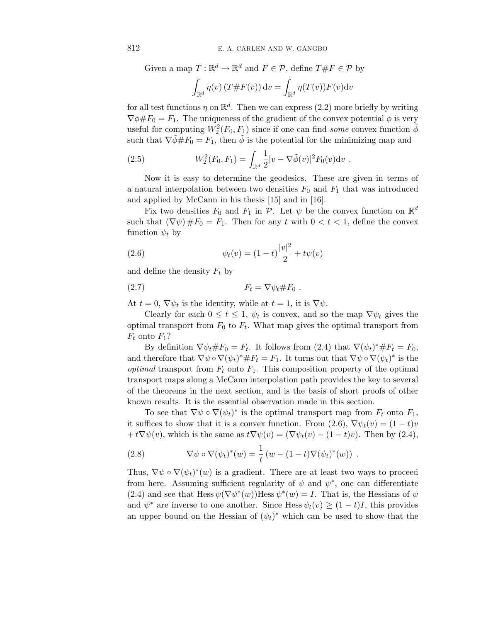Given a map  $T : \mathbb{R}^d \to \mathbb{R}^d$  and  $F \in \mathcal{P}$ , define  $T \# F \in \mathcal{P}$  by -  $\int_{\mathbb{R}^d} \eta(v) \left( T \# F(v) \right) \mathrm{d} v = \int$  $\int_{\mathbb{R}^d} \eta(T(v)) F(v) \text{d}v$ 

for all test functions  $\eta$  on  $\mathbb{R}^d$ . Then we can express (2.2) more briefly by writing  $\nabla \phi \# F_0 = F_1$ . The uniqueness of the gradient of the convex potential  $\phi$  is very useful for computing  $W_2^2(F_0, F_1)$  since if one can find *some* convex function  $\tilde{\phi}$ such that  $\nabla \phi \# F_0 = F_1$ , then  $\phi$  is the potential for the minimizing map and

(2.5) 
$$
W_2^2(F_0, F_1) = \int_{\mathbb{R}^d} \frac{1}{2} |v - \nabla \tilde{\phi}(v)|^2 F_0(v) \mathrm{d}v.
$$

Now it is easy to determine the geodesics. These are given in terms of a natural interpolation between two densities  $F_0$  and  $F_1$  that was introduced and applied by McCann in his thesis [15] and in [16].

Fix two densities  $F_0$  and  $F_1$  in  $\mathcal{P}$ . Let  $\psi$  be the convex function on  $\mathbb{R}^d$ such that  $(\nabla \psi) \# F_0 = F_1$ . Then for any *t* with  $0 < t < 1$ , define the convex function  $\psi_t$  by

(2.6) 
$$
\psi_t(v) = (1-t)\frac{|v|^2}{2} + t\psi(v)
$$

and define the density  $F_t$  by

$$
(2.7) \t\t\t F_t = \nabla \psi_t \# F_0.
$$

At  $t = 0$ ,  $\nabla \psi_t$  is the identity, while at  $t = 1$ , it is  $\nabla \psi$ .

Clearly for each  $0 \le t \le 1$ ,  $\psi_t$  is convex, and so the map  $\nabla \psi_t$  gives the optimal transport from  $F_0$  to  $F_t$ . What map gives the optimal transport from  $F_t$  onto  $F_1$ ?

By definition  $\nabla \psi_t \# F_0 = F_t$ . It follows from (2.4) that  $\nabla (\psi_t)^* \# F_t = F_0$ , and therefore that  $\nabla \psi \circ \nabla (\psi_t)^* \# F_t = F_1$ . It turns out that  $\nabla \psi \circ \nabla (\psi_t)^*$  is the *optimal* transport from  $F_t$  onto  $F_1$ . This composition property of the optimal transport maps along a McCann interpolation path provides the key to several of the theorems in the next section, and is the basis of short proofs of other known results. It is the essential observation made in this section.

To see that  $\nabla \psi \circ \nabla (\psi_t)^*$  is the optimal transport map from  $F_t$  onto  $F_1$ , it suffices to show that it is a convex function. From  $(2.6)$ ,  $\nabla \psi_t(v) = (1-t)v$  $+ t\nabla \psi(v)$ , which is the same as  $t\nabla \psi(v) = (\nabla \psi_t(v) - (1-t)v)$ . Then by (2.4),

(2.8) 
$$
\nabla \psi \circ \nabla (\psi_t)^*(w) = \frac{1}{t} (w - (1-t) \nabla (\psi_t)^*(w)) .
$$

Thus,  $\nabla \psi \circ \nabla (\psi_t)^*(w)$  is a gradient. There are at least two ways to proceed from here. Assuming sufficient regularity of  $\psi$  and  $\psi^*$ , one can differentiate (2.4) and see that Hess  $\psi(\nabla \psi^*(w))$ Hess  $\psi^*(w) = I$ . That is, the Hessians of  $\psi$ and  $\psi^*$  are inverse to one another. Since Hess  $\psi_t(v) \geq (1-t)I$ , this provides an upper bound on the Hessian of  $(\psi_t)^*$  which can be used to show that the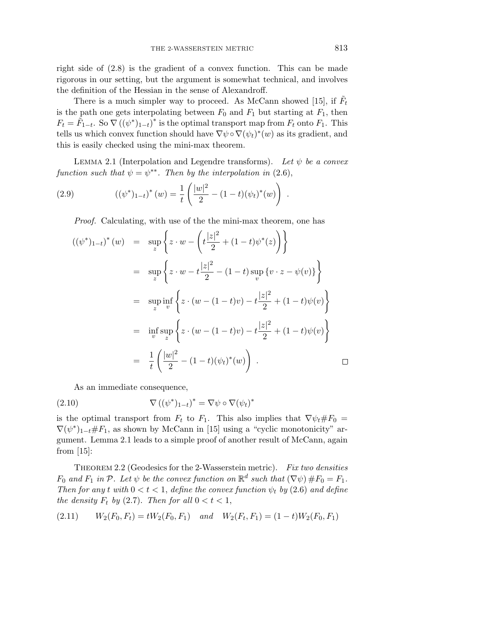right side of (2.8) is the gradient of a convex function. This can be made rigorous in our setting, but the argument is somewhat technical, and involves the definition of the Hessian in the sense of Alexandroff.

There is a much simpler way to proceed. As McCann showed [15], if  $F_t$ is the path one gets interpolating between  $F_0$  and  $F_1$  but starting at  $F_1$ , then  $F_t = \tilde{F}_{1-t}$ . So  $\nabla ((\psi^*)_{1-t})^*$  is the optimal transport map from  $F_t$  onto  $F_1$ . This tells us which convex function should have  $\nabla \psi \circ \nabla (\psi_t)^*(w)$  as its gradient, and this is easily checked using the mini-max theorem.

LEMMA 2.1 (Interpolation and Legendre transforms). Let  $\psi$  be a convex function such that  $\psi = \psi^{**}$ . Then by the interpolation in (2.6),

(2.9) 
$$
((\psi^*)_{1-t})^*(w) = \frac{1}{t} \left( \frac{|w|^2}{2} - (1-t)(\psi_t)^*(w) \right)
$$

Proof. Calculating, with use of the the mini-max theorem, one has

$$
((\psi^*)_{1-t})^*(w) = \sup_z \left\{ z \cdot w - \left( t \frac{|z|^2}{2} + (1-t)\psi^*(z) \right) \right\}
$$
  
\n
$$
= \sup_z \left\{ z \cdot w - t \frac{|z|^2}{2} - (1-t) \sup_v \{ v \cdot z - \psi(v) \} \right\}
$$
  
\n
$$
= \sup_z \inf_v \left\{ z \cdot (w - (1-t)v) - t \frac{|z|^2}{2} + (1-t)\psi(v) \right\}
$$
  
\n
$$
= \inf_v \sup_z \left\{ z \cdot (w - (1-t)v) - t \frac{|z|^2}{2} + (1-t)\psi(v) \right\}
$$
  
\n
$$
= \frac{1}{t} \left( \frac{|w|^2}{2} - (1-t)(\psi_t)^*(w) \right) . \square
$$

As an immediate consequence,

(2.10) 
$$
\nabla ((\psi^*)_{1-t})^* = \nabla \psi \circ \nabla (\psi_t)^*
$$

is the optimal transport from  $F_t$  to  $F_1$ . This also implies that  $\nabla \psi_t \# F_0 =$  $\nabla(\psi^*)_{1-t}$ # $F_1$ , as shown by McCann in [15] using a "cyclic monotonicity" argument. Lemma 2.1 leads to a simple proof of another result of McCann, again from  $[15]$ :

THEOREM 2.2 (Geodesics for the 2-Wasserstein metric). Fix two densities *F*<sub>0</sub> and *F*<sub>1</sub> in  $\mathcal{P}$ . Let  $\psi$  be the convex function on  $\mathbb{R}^d$  such that  $(\nabla \psi) \# F_0 = F_1$ . Then for any *t* with  $0 < t < 1$ , define the convex function  $\psi_t$  by (2.6) and define the density  $F_t$  by (2.7). Then for all  $0 < t < 1$ ,

$$
(2.11) \t W2(F0, Ft) = tW2(F0, F1) \t and \t W2(Ft, F1) = (1 - t)W2(F0, F1)
$$

*.*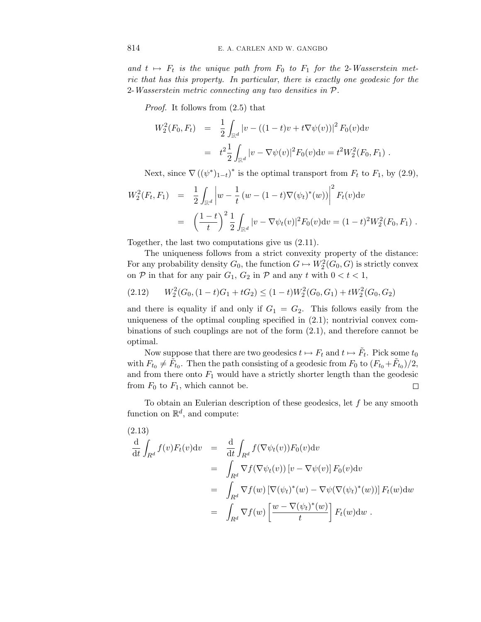and  $t \mapsto F_t$  is the unique path from  $F_0$  to  $F_1$  for the 2-Wasserstein metric that has this property. In particular, there is exactly one geodesic for the 2-Wasserstein metric connecting any two densities in P.

Proof. It follows from (2.5) that

$$
W_2^2(F_0, F_t) = \frac{1}{2} \int_{\mathbb{R}^d} |v - ((1 - t)v + t \nabla \psi(v))|^2 F_0(v) dv
$$
  
= 
$$
t^2 \frac{1}{2} \int_{\mathbb{R}^d} |v - \nabla \psi(v)|^2 F_0(v) dv = t^2 W_2^2(F_0, F_1).
$$

Next, since  $\nabla ((\psi^*)_{1-t})^*$  is the optimal transport from  $F_t$  to  $F_1$ , by (2.9),

$$
W_2^2(F_t, F_1) = \frac{1}{2} \int_{\mathbb{R}^d} \left| w - \frac{1}{t} (w - (1 - t) \nabla (\psi_t)^*(w)) \right|^2 F_t(v) dv
$$
  
= 
$$
\left( \frac{1 - t}{t} \right)^2 \frac{1}{2} \int_{\mathbb{R}^d} |v - \nabla \psi_t(v)|^2 F_0(v) dv = (1 - t)^2 W_2^2(F_0, F_1).
$$

Together, the last two computations give us (2.11).

The uniqueness follows from a strict convexity property of the distance: For any probability density  $G_0$ , the function  $G \mapsto W_2^2(G_0, G)$  is strictly convex on  $P$  in that for any pair  $G_1$ ,  $G_2$  in  $P$  and any  $t$  with  $0 < t < 1$ ,

$$
(2.12) \qquad W_2^2(G_0, (1-t)G_1 + tG_2) \le (1-t)W_2^2(G_0, G_1) + tW_2^2(G_0, G_2)
$$

and there is equality if and only if  $G_1 = G_2$ . This follows easily from the uniqueness of the optimal coupling specified in (2.1); nontrivial convex combinations of such couplings are not of the form (2.1), and therefore cannot be optimal.

Now suppose that there are two geodesics  $t \mapsto F_t$  and  $t \mapsto \tilde{F}_t$ . Pick some  $t_0$ with  $F_{t_0} \neq \tilde{F}_{t_0}$ . Then the path consisting of a geodesic from  $F_0$  to  $(F_{t_0} + \tilde{F}_{t_0})/2$ , and from there onto  $F_1$  would have a strictly shorter length than the geodesic from  $F_0$  to  $F_1$ , which cannot be.  $\Box$ 

To obtain an Eulerian description of these geodesics, let *f* be any smooth function on  $\mathbb{R}^d$ , and compute:

(2.13)  
\n
$$
\frac{d}{dt} \int_{R^d} f(v) F_t(v) dv = \frac{d}{dt} \int_{R^d} f(\nabla \psi_t(v)) F_0(v) dv
$$
\n
$$
= \int_{R^d} \nabla f(\nabla \psi_t(v)) [v - \nabla \psi(v)] F_0(v) dv
$$
\n
$$
= \int_{R^d} \nabla f(w) [\nabla (\psi_t)^*(w) - \nabla \psi(\nabla (\psi_t)^*(w))] F_t(w) dw
$$
\n
$$
= \int_{R^d} \nabla f(w) \left[ \frac{w - \nabla (\psi_t)^*(w)}{t} \right] F_t(w) dw.
$$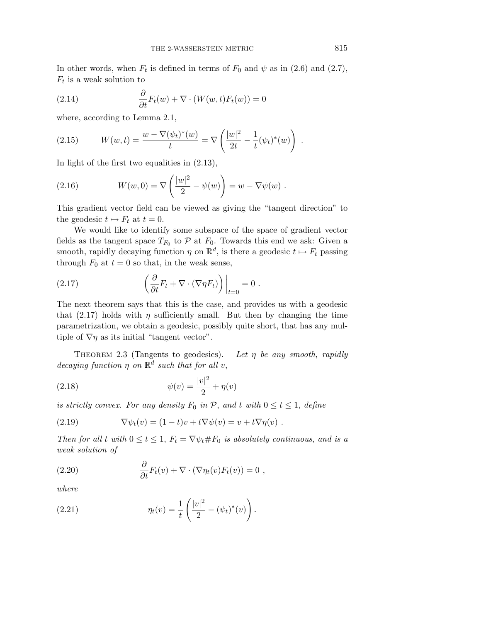In other words, when  $F_t$  is defined in terms of  $F_0$  and  $\psi$  as in (2.6) and (2.7), *F*<sup>t</sup> is a weak solution to

(2.14) 
$$
\frac{\partial}{\partial t}F_t(w) + \nabla \cdot (W(w, t)F_t(w)) = 0
$$

where, according to Lemma 2.1,

(2.15) 
$$
W(w,t) = \frac{w - \nabla(\psi_t)^*(w)}{t} = \nabla\left(\frac{|w|^2}{2t} - \frac{1}{t}(\psi_t)^*(w)\right).
$$

In light of the first two equalities in (2.13),

(2.16) 
$$
W(w, 0) = \nabla \left( \frac{|w|^2}{2} - \psi(w) \right) = w - \nabla \psi(w) .
$$

This gradient vector field can be viewed as giving the "tangent direction" to the geodesic  $t \mapsto F_t$  at  $t = 0$ .

We would like to identify some subspace of the space of gradient vector fields as the tangent space  $T_{F_0}$  to  $P$  at  $F_0$ . Towards this end we ask: Given a smooth, rapidly decaying function  $\eta$  on  $\mathbb{R}^d$ , is there a geodesic  $t \mapsto F_t$  passing through  $F_0$  at  $t = 0$  so that, in the weak sense,

(2.17) 
$$
\left(\frac{\partial}{\partial t}F_t + \nabla \cdot (\nabla \eta F_t)\right)\Big|_{t=0} = 0.
$$

The next theorem says that this is the case, and provides us with a geodesic that (2.17) holds with  $\eta$  sufficiently small. But then by changing the time parametrization, we obtain a geodesic, possibly quite short, that has any multiple of  $\nabla \eta$  as its initial "tangent vector".

THEOREM 2.3 (Tangents to geodesics). Let  $\eta$  be any smooth, rapidly decaying function  $\eta$  on  $\mathbb{R}^d$  such that for all *v*,

(2.18) 
$$
\psi(v) = \frac{|v|^2}{2} + \eta(v)
$$

is strictly convex. For any density  $F_0$  in  $P$ , and  $t$  with  $0 \le t \le 1$ , define

(2.19) 
$$
\nabla \psi_t(v) = (1-t)v + t\nabla \psi(v) = v + t\nabla \eta(v) .
$$

Then for all *t* with  $0 \le t \le 1$ ,  $F_t = \nabla \psi_t \# F_0$  is absolutely continuous, and is a weak solution of

(2.20) 
$$
\frac{\partial}{\partial t} F_t(v) + \nabla \cdot (\nabla \eta_t(v) F_t(v)) = 0,
$$

where

(2.21) 
$$
\eta_t(v) = \frac{1}{t} \left( \frac{|v|^2}{2} - (\psi_t)^*(v) \right).
$$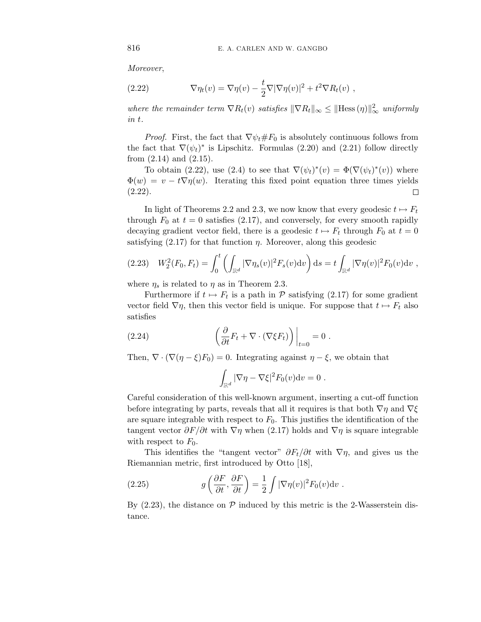Moreover,

(2.22) 
$$
\nabla \eta_t(v) = \nabla \eta(v) - \frac{t}{2} \nabla |\nabla \eta(v)|^2 + t^2 \nabla R_t(v) ,
$$

where the remainder term  $\nabla R_t(v)$  satisfies  $\|\nabla R_t\|_{\infty} \leq \|\text{Hess}(\eta)\|_{\infty}^2$  uniformly in *t*.

*Proof.* First, the fact that  $\nabla \psi_t \# F_0$  is absolutely continuous follows from the fact that  $\nabla(\psi_t)^*$  is Lipschitz. Formulas (2.20) and (2.21) follow directly from  $(2.14)$  and  $(2.15)$ .

To obtain (2.22), use (2.4) to see that  $\nabla(\psi_t)^*(v) = \Phi(\nabla(\psi_t)^*(v))$  where  $\Phi(w) = v - t \nabla \eta(w)$ . Iterating this fixed point equation three times yields  $(2.22)$ .  $\Box$ 

In light of Theorems 2.2 and 2.3, we now know that every geodesic  $t \mapsto F_t$ through  $F_0$  at  $t = 0$  satisfies (2.17), and conversely, for every smooth rapidly decaying gradient vector field, there is a geodesic  $t \mapsto F_t$  through  $F_0$  at  $t=0$ satisfying  $(2.17)$  for that function  $\eta$ . Moreover, along this geodesic

$$
(2.23) \quad W_2^2(F_0, F_t) = \int_0^t \left( \int_{\mathbb{R}^d} |\nabla \eta_s(v)|^2 F_s(v) \mathrm{d}v \right) \mathrm{d}s = t \int_{\mathbb{R}^d} |\nabla \eta(v)|^2 F_0(v) \mathrm{d}v ,
$$

where  $\eta_s$  is related to  $\eta$  as in Theorem 2.3.

Furthermore if  $t \mapsto F_t$  is a path in  $\mathcal P$  satisfying (2.17) for some gradient vector field  $\nabla \eta$ , then this vector field is unique. For suppose that  $t \mapsto F_t$  also satisfies

(2.24) 
$$
\left. \left( \frac{\partial}{\partial t} F_t + \nabla \cdot (\nabla \xi F_t) \right) \right|_{t=0} = 0.
$$

Then,  $\nabla \cdot (\nabla (\eta - \xi) F_0) = 0$ . Integrating against  $\eta - \xi$ , we obtain that

$$
\int_{\mathbb{R}^d} |\nabla \eta - \nabla \xi|^2 F_0(v) \mathrm{d} v = 0.
$$

Careful consideration of this well-known argument, inserting a cut-off function before integrating by parts, reveals that all it requires is that both  $\nabla \eta$  and  $\nabla \xi$ are square integrable with respect to  $F_0$ . This justifies the identification of the tangent vector  $\partial F/\partial t$  with  $\nabla \eta$  when (2.17) holds and  $\nabla \eta$  is square integrable with respect to  $F_0$ .

This identifies the "tangent vector"  $\partial F_t/\partial t$  with  $\nabla \eta$ , and gives us the Riemannian metric, first introduced by Otto [18],

(2.25) 
$$
g\left(\frac{\partial F}{\partial t}, \frac{\partial F}{\partial t}\right) = \frac{1}{2} \int |\nabla \eta(v)|^2 F_0(v) \mathrm{d}v.
$$

By  $(2.23)$ , the distance on  $P$  induced by this metric is the 2-Wasserstein distance.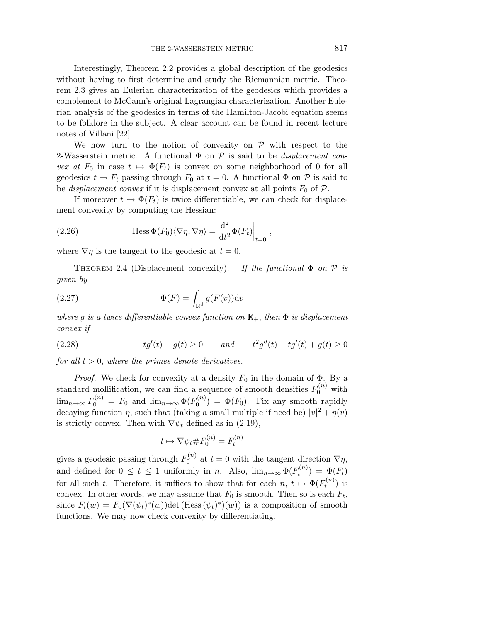Interestingly, Theorem 2.2 provides a global description of the geodesics without having to first determine and study the Riemannian metric. Theorem 2.3 gives an Eulerian characterization of the geodesics which provides a complement to McCann's original Lagrangian characterization. Another Eulerian analysis of the geodesics in terms of the Hamilton-Jacobi equation seems to be folklore in the subject. A clear account can be found in recent lecture notes of Villani [22].

We now turn to the notion of convexity on  $\mathcal P$  with respect to the 2-Wasserstein metric. A functional  $\Phi$  on  $\mathcal P$  is said to be *displacement con*vex at  $F_0$  in case  $t \mapsto \Phi(F_t)$  is convex on some neighborhood of 0 for all geodesics  $t \mapsto F_t$  passing through  $F_0$  at  $t = 0$ . A functional  $\Phi$  on  $\mathcal P$  is said to be *displacement convex* if it is displacement convex at all points  $F_0$  of  $\mathcal{P}$ .

If moreover  $t \mapsto \Phi(F_t)$  is twice differentiable, we can check for displacement convexity by computing the Hessian:

(2.26) 
$$
\qquad \qquad \text{Hess }\Phi(F_0)\langle \nabla \eta, \nabla \eta \rangle = \frac{\mathrm{d}^2}{\mathrm{d}t^2} \Phi(F_t)\Big|_{t=0} ,
$$

where  $\nabla \eta$  is the tangent to the geodesic at  $t = 0$ .

THEOREM 2.4 (Displacement convexity). If the functional  $\Phi$  on  $\mathcal P$  is given by

(2.27) 
$$
\Phi(F) = \int_{\mathbb{R}^d} g(F(v)) \mathrm{d}v
$$

where *g* is a twice differentiable convex function on  $\mathbb{R}_+$ , then  $\Phi$  is displacement convex if

(2.28) 
$$
tg'(t) - g(t) \ge 0 \quad and \quad t^2g''(t) - tg'(t) + g(t) \ge 0
$$

for all  $t > 0$ , where the primes denote derivatives.

*Proof.* We check for convexity at a density  $F_0$  in the domain of  $\Phi$ . By a standard mollification, we can find a sequence of smooth densities  $F_0^{(n)}$  with  $\lim_{n\to\infty} F_0^{(n)} = F_0$  and  $\lim_{n\to\infty} \Phi(F_0^{(n)}) = \Phi(F_0)$ . Fix any smooth rapidly decaying function *η*, such that (taking a small multiple if need be)  $|v|^2 + \eta(v)$ is strictly convex. Then with  $\nabla \psi_t$  defined as in (2.19),

$$
t \mapsto \nabla \psi_t \# F_0^{(n)} = F_t^{(n)}
$$

gives a geodesic passing through  $F_0^{(n)}$  at  $t = 0$  with the tangent direction  $\nabla \eta$ , and defined for  $0 \le t \le 1$  uniformly in *n*. Also,  $\lim_{n\to\infty} \Phi(F_t^{(n)}) = \Phi(F_t)$ for all such *t*. Therefore, it suffices to show that for each  $n, t \mapsto \Phi(F_t^{(n)})$  is convex. In other words, we may assume that  $F_0$  is smooth. Then so is each  $F_t$ , since  $F_t(w) = F_0(\nabla(\psi_t)^*(w))\det(\text{Hess}(\psi_t)^*)(w))$  is a composition of smooth functions. We may now check convexity by differentiating.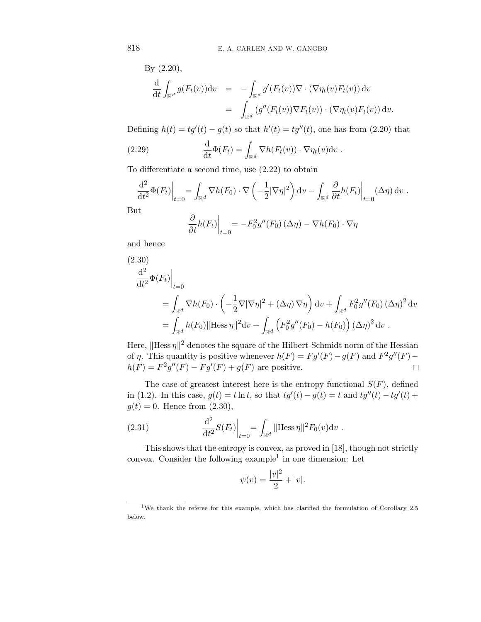By (2.20),

$$
\frac{\mathrm{d}}{\mathrm{d}t} \int_{\mathbb{R}^d} g(F_t(v)) \mathrm{d}v = - \int_{\mathbb{R}^d} g'(F_t(v)) \nabla \cdot (\nabla \eta_t(v) F_t(v)) \, \mathrm{d}v \n= \int_{\mathbb{R}^d} (g''(F_t(v)) \nabla F_t(v)) \cdot (\nabla \eta_t(v) F_t(v)) \, \mathrm{d}v.
$$

Defining  $h(t) = tg'(t) - g(t)$  so that  $h'(t) = tg''(t)$ , one has from (2.20) that

(2.29) 
$$
\frac{\mathrm{d}}{\mathrm{d}t} \Phi(F_t) = \int_{\mathbb{R}^d} \nabla h(F_t(v)) \cdot \nabla \eta_t(v) \mathrm{d}v.
$$

To differentiate a second time, use (2.22) to obtain

$$
\frac{\mathrm{d}^2}{\mathrm{d}t^2} \Phi(F_t) \Big|_{t=0} = \int_{\mathbb{R}^d} \nabla h(F_0) \cdot \nabla \left( -\frac{1}{2} |\nabla \eta|^2 \right) \mathrm{d}v - \int_{\mathbb{R}^d} \frac{\partial}{\partial t} h(F_t) \Big|_{t=0} (\Delta \eta) \, \mathrm{d}v.
$$
\nat

 $Bu$ 

$$
\left. \frac{\partial}{\partial t} h(F_t) \right|_{t=0} = -F_0^2 g''(F_0) \left( \Delta \eta \right) - \nabla h(F_0) \cdot \nabla \eta
$$

and hence

(2.30)  
\n
$$
\frac{d^2}{dt^2} \Phi(F_t) \Big|_{t=0}
$$
\n
$$
= \int_{\mathbb{R}^d} \nabla h(F_0) \cdot \left( -\frac{1}{2} \nabla |\nabla \eta|^2 + (\Delta \eta) \nabla \eta \right) dv + \int_{\mathbb{R}^d} F_0^2 g''(F_0) (\Delta \eta)^2 dv
$$
\n
$$
= \int_{\mathbb{R}^d} h(F_0) ||\text{Hess}\,\eta||^2 dv + \int_{\mathbb{R}^d} \left( F_0^2 g''(F_0) - h(F_0) \right) (\Delta \eta)^2 dv.
$$

Here,  $\|\text{Hess}\,\eta\|^2$  denotes the square of the Hilbert-Schmidt norm of the Hessian of *η*. This quantity is positive whenever  $h(F) = Fg'(F) - g(F)$  and  $F^2g''(F) - g(F)$ *h*(*F*) =  $F^2g''(F) - Fg'(F) + g(F)$  are positive.  $\Box$ 

The case of greatest interest here is the entropy functional  $S(F)$ , defined in (1.2). In this case,  $g(t) = t \ln t$ , so that  $tg'(t) - g(t) = t$  and  $tg''(t) - tg'(t) +$  $q(t) = 0$ . Hence from  $(2.30)$ ,

(2.31) 
$$
\frac{d^2}{dt^2} S(F_t)\Big|_{t=0} = \int_{\mathbb{R}^d} ||H \text{ess } \eta||^2 F_0(v) dv.
$$

This shows that the entropy is convex, as proved in [18], though not strictly convex. Consider the following example<sup>1</sup> in one dimension: Let

$$
\psi(v) = \frac{|v|^2}{2} + |v|.
$$

<sup>1</sup>We thank the referee for this example, which has clarified the formulation of Corollary 2.5 below.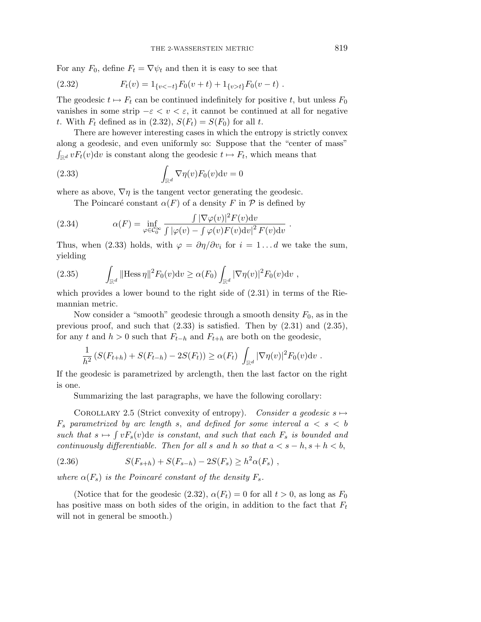For any  $F_0$ , define  $F_t = \nabla \psi_t$  and then it is easy to see that

(2.32) 
$$
F_t(v) = 1_{\{v < -t\}} F_0(v+t) + 1_{\{v > t\}} F_0(v-t) \; .
$$

The geodesic  $t \mapsto F_t$  can be continued indefinitely for positive *t*, but unless  $F_0$ vanishes in some strip  $-\varepsilon < v < \varepsilon$ , it cannot be continued at all for negative *t*. With  $F_t$  defined as in (2.32),  $S(F_t) = S(F_0)$  for all *t*.

There are however interesting cases in which the entropy is strictly convex along a geodesic, and even uniformly so: Suppose that the "center of mass"  $\int_{\mathbb{R}^d} v F_t(v) \, dv$  is constant along the geodesic  $t \mapsto F_t$ , which means that

(2.33) 
$$
\int_{\mathbb{R}^d} \nabla \eta(v) F_0(v) \mathrm{d}v = 0
$$

where as above,  $\nabla \eta$  is the tangent vector generating the geodesic.

The Poincaré constant  $\alpha(F)$  of a density *F* in  $\mathcal P$  is defined by

(2.34) 
$$
\alpha(F) = \inf_{\varphi \in C_0^{\infty}} \frac{\int |\nabla \varphi(v)|^2 F(v) dv}{\int |\varphi(v) - \int \varphi(v) F(v) dv|^2 F(v) dv}.
$$

Thus, when (2.33) holds, with  $\varphi = \partial \eta / \partial v_i$  for  $i = 1...d$  we take the sum, yielding

(2.35) 
$$
\int_{\mathbb{R}^d} ||\text{Hess}\,\eta||^2 F_0(v) \, dv \ge \alpha(F_0) \int_{\mathbb{R}^d} |\nabla \eta(v)|^2 F_0(v) \, dv,
$$

which provides a lower bound to the right side of (2.31) in terms of the Riemannian metric.

Now consider a "smooth" geodesic through a smooth density  $F_0$ , as in the previous proof, and such that (2.33) is satisfied. Then by (2.31) and (2.35), for any *t* and  $h > 0$  such that  $F_{t-h}$  and  $F_{t+h}$  are both on the geodesic,

$$
\frac{1}{h^2} \left( S(F_{t+h}) + S(F_{t-h}) - 2S(F_t) \right) \ge \alpha(F_t) \int_{\mathbb{R}^d} |\nabla \eta(v)|^2 F_0(v) \, dv.
$$

If the geodesic is parametrized by arclength, then the last factor on the right is one.

Summarizing the last paragraphs, we have the following corollary:

COROLLARY 2.5 (Strict convexity of entropy). Consider a geodesic  $s \mapsto$  $F_s$  parametrized by arc length *s*, and defined for some interval  $a < s < b$ such that  $s \mapsto \int vF_s(v)dv$  is constant, and such that each  $F_s$  is bounded and continuously differentiable. Then for all *s* and *h* so that  $a < s - h$ ,  $s + h < b$ ,

(2.36) 
$$
S(F_{s+h}) + S(F_{s-h}) - 2S(F_s) \ge h^2 \alpha(F_s) ,
$$

where  $\alpha(F_s)$  is the Poincaré constant of the density  $F_s$ .

(Notice that for the geodesic  $(2.32)$ ,  $\alpha(F_t) = 0$  for all  $t > 0$ , as long as  $F_0$ has positive mass on both sides of the origin, in addition to the fact that *F*<sup>t</sup> will not in general be smooth.)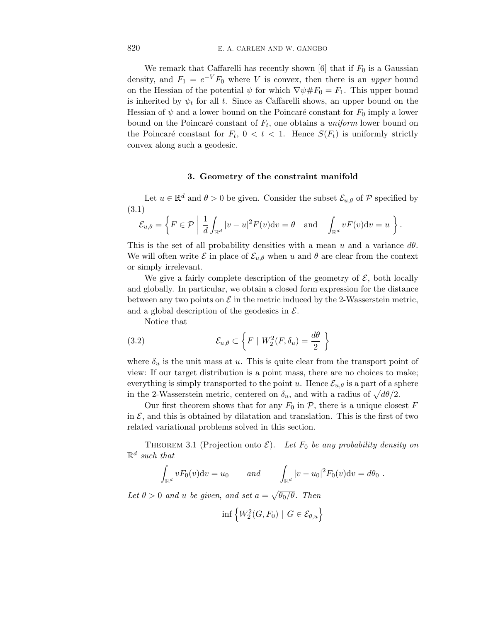We remark that Caffarelli has recently shown  $[6]$  that if  $F_0$  is a Gaussian density, and  $F_1 = e^{-V} F_0$  where *V* is convex, then there is an *upper* bound on the Hessian of the potential  $\psi$  for which  $\nabla \psi \# F_0 = F_1$ . This upper bound is inherited by  $\psi_t$  for all t. Since as Caffarelli shows, an upper bound on the Hessian of  $\psi$  and a lower bound on the Poincaré constant for  $F_0$  imply a lower bound on the Poincaré constant of  $F_t$ , one obtains a *uniform* lower bound on the Poincaré constant for  $F_t$ ,  $0 < t < 1$ . Hence  $S(F_t)$  is uniformly strictly convex along such a geodesic.

# **3. Geometry of the constraint manifold**

Let  $u \in \mathbb{R}^d$  and  $\theta > 0$  be given. Consider the subset  $\mathcal{E}_{u,\theta}$  of P specified by (3.1)

$$
\mathcal{E}_{u,\theta} = \left\{ F \in \mathcal{P} \mid \frac{1}{d} \int_{\mathbb{R}^d} |v - u|^2 F(v) \mathrm{d}v = \theta \quad \text{and} \quad \int_{\mathbb{R}^d} v F(v) \mathrm{d}v = u \right\}.
$$

This is the set of all probability densities with a mean *u* and a variance *dθ*. We will often write  $\mathcal E$  in place of  $\mathcal E_{u,\theta}$  when *u* and  $\theta$  are clear from the context or simply irrelevant.

We give a fairly complete description of the geometry of  $\mathcal{E}$ , both locally and globally. In particular, we obtain a closed form expression for the distance between any two points on  $\mathcal E$  in the metric induced by the 2-Wasserstein metric, and a global description of the geodesics in  $\mathcal{E}$ .

Notice that

(3.2) 
$$
\mathcal{E}_{u,\theta} \subset \left\{ F \mid W_2^2(F,\delta_u) = \frac{d\theta}{2} \right\}
$$

where  $\delta_u$  is the unit mass at *u*. This is quite clear from the transport point of view: If our target distribution is a point mass, there are no choices to make; everything is simply transported to the point *u*. Hence  $\mathcal{E}_{u,\theta}$  is a part of a sphere in the 2-Wasserstein metric, centered on  $\delta_u$ , and with a radius of  $\sqrt{d\theta/2}$ .

Our first theorem shows that for any  $F_0$  in  $P$ , there is a unique closest  $F$ in  $\mathcal{E}$ , and this is obtained by dilatation and translation. This is the first of two related variational problems solved in this section.

THEOREM 3.1 (Projection onto  $\mathcal{E}$ ). Let  $F_0$  be any probability density on  $\mathbb{R}^d$  such that

$$
\int_{\mathbb{R}^d} v F_0(v) \mathrm{d}v = u_0 \qquad and \qquad \int_{\mathbb{R}^d} |v - u_0|^2 F_0(v) \mathrm{d}v = d\theta_0.
$$

Let  $\theta > 0$  and *u* be given, and set  $a = \sqrt{\theta_0/\theta}$ . Then

$$
\inf \left\{ W_2^2(G, F_0) \mid G \in \mathcal{E}_{\theta, u} \right\}
$$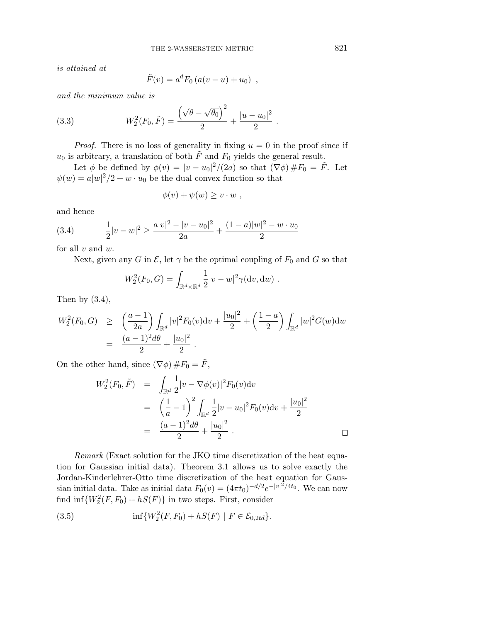is attained at

$$
\tilde{F}(v) = a^d F_0 (a(v - u) + u_0) ,
$$

and the minimum value is

(3.3) 
$$
W_2^2(F_0, \tilde{F}) = \frac{(\sqrt{\theta} - \sqrt{\theta_0})^2}{2} + \frac{|u - u_0|^2}{2}.
$$

*Proof.* There is no loss of generality in fixing  $u = 0$  in the proof since if  $u_0$  is arbitrary, a translation of both  $\tilde{F}$  and  $F_0$  yields the general result.

Let  $\phi$  be defined by  $\phi(v) = |v - u_0|^2/(2a)$  so that  $(\nabla \phi) \# F_0 = \tilde{F}$ . Let  $\psi(w) = a|w|^2/2 + w \cdot u_0$  be the dual convex function so that

$$
\phi(v) + \psi(w) \ge v \cdot w ,
$$

and hence

(3.4) 
$$
\frac{1}{2}|v-w|^2 \ge \frac{a|v|^2 - |v - u_0|^2}{2a} + \frac{(1-a)|w|^2 - w \cdot u_0}{2}
$$

for all *v* and *w*.

Next, given any *G* in  $\mathcal{E}$ , let  $\gamma$  be the optimal coupling of  $F_0$  and *G* so that

$$
W_2^2(F_0, G) = \int_{\mathbb{R}^d \times \mathbb{R}^d} \frac{1}{2} |v - w|^2 \gamma(\mathrm{d} v, \mathrm{d} w) .
$$

Then by  $(3.4)$ ,

$$
W_2^2(F_0, G) \ge \left(\frac{a-1}{2a}\right) \int_{\mathbb{R}^d} |v|^2 F_0(v) \mathrm{d}v + \frac{|u_0|^2}{2} + \left(\frac{1-a}{2}\right) \int_{\mathbb{R}^d} |w|^2 G(w) \mathrm{d}w
$$
  
= 
$$
\frac{(a-1)^2 d\theta}{2} + \frac{|u_0|^2}{2}.
$$

On the other hand, since  $(\nabla \phi) \# F_0 = \tilde{F}$ ,

$$
W_2^2(F_0, \tilde{F}) = \int_{\mathbb{R}^d} \frac{1}{2} |v - \nabla \phi(v)|^2 F_0(v) dv
$$
  
=  $\left(\frac{1}{a} - 1\right)^2 \int_{\mathbb{R}^d} \frac{1}{2} |v - u_0|^2 F_0(v) dv + \frac{|u_0|^2}{2}$   
=  $\frac{(a-1)^2 d\theta}{2} + \frac{|u_0|^2}{2}$ .

Remark (Exact solution for the JKO time discretization of the heat equation for Gaussian initial data). Theorem 3.1 allows us to solve exactly the Jordan-Kinderlehrer-Otto time discretization of the heat equation for Gaussian initial data. Take as initial data  $F_0(v) = (4\pi t_0)^{-d/2} e^{-|v|^2/4t_0}$ . We can now find  $\inf \{W_2^2(F, F_0) + hS(F)\}\$ in two steps. First, consider

(3.5) 
$$
\inf \{ W_2^2(F, F_0) + hS(F) \mid F \in \mathcal{E}_{0,2td} \}.
$$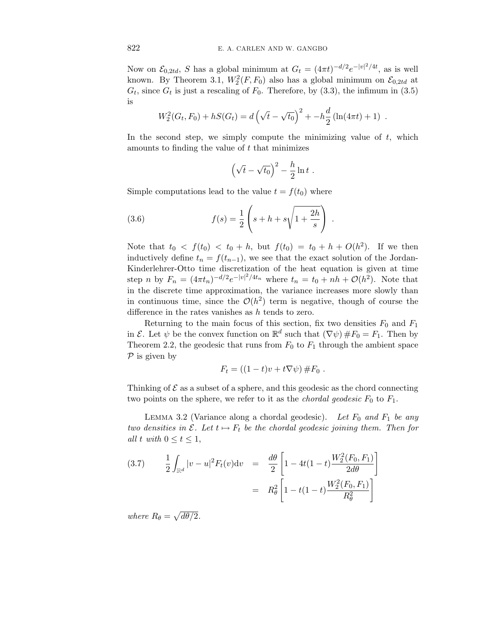Now on  $\mathcal{E}_{0,2td}$ , *S* has a global minimum at  $G_t = (4\pi t)^{-d/2} e^{-|v|^2/4t}$ , as is well known. By Theorem 3.1,  $W_2^2(F, F_0)$  also has a global minimum on  $\mathcal{E}_{0,2td}$  at  $G_t$ , since  $G_t$  is just a rescaling of  $F_0$ . Therefore, by  $(3.3)$ , the infimum in  $(3.5)$ is

$$
W_2^2(G_t, F_0) + hS(G_t) = d\left(\sqrt{t} - \sqrt{t_0}\right)^2 + -h\frac{d}{2}\left(\ln(4\pi t) + 1\right).
$$

In the second step, we simply compute the minimizing value of *t*, which amounts to finding the value of *t* that minimizes

$$
\left(\sqrt{t}-\sqrt{t_0}\right)^2 - \frac{h}{2}\ln t \ .
$$

Simple computations lead to the value  $t = f(t_0)$  where

(3.6) 
$$
f(s) = \frac{1}{2} \left( s + h + s \sqrt{1 + \frac{2h}{s}} \right) .
$$

Note that  $t_0 < f(t_0) < t_0 + h$ , but  $f(t_0) = t_0 + h + O(h^2)$ . If we then inductively define  $t_n = f(t_{n-1})$ , we see that the exact solution of the Jordan-Kinderlehrer-Otto time discretization of the heat equation is given at time step *n* by  $F_n = (4\pi t_n)^{-d/2} e^{-|v|^2/4t_n}$  where  $t_n = t_0 + nh + \mathcal{O}(h^2)$ . Note that in the discrete time approximation, the variance increases more slowly than in continuous time, since the  $\mathcal{O}(h^2)$  term is negative, though of course the difference in the rates vanishes as *h* tends to zero.

Returning to the main focus of this section, fix two densities  $F_0$  and  $F_1$ in E. Let  $\psi$  be the convex function on  $\mathbb{R}^d$  such that  $(\nabla \psi) \# F_0 = F_1$ . Then by Theorem 2.2, the geodesic that runs from  $F_0$  to  $F_1$  through the ambient space  $\mathcal P$  is given by

$$
F_t = ((1-t)v + t\nabla\psi) \, #F_0 \, .
$$

Thinking of  $\mathcal E$  as a subset of a sphere, and this geodesic as the chord connecting two points on the sphere, we refer to it as the *chordal geodesic*  $F_0$  to  $F_1$ .

LEMMA 3.2 (Variance along a chordal geodesic). Let  $F_0$  and  $F_1$  be any two densities in  $\mathcal{E}$ . Let  $t \mapsto F_t$  be the chordal geodesic joining them. Then for all  $t$  with  $0 \le t \le 1$ ,

(3.7) 
$$
\frac{1}{2} \int_{\mathbb{R}^d} |v - u|^2 F_t(v) dv = \frac{d\theta}{2} \left[ 1 - 4t(1 - t) \frac{W_2^2(F_0, F_1)}{2d\theta} \right]
$$

$$
= R_\theta^2 \left[ 1 - t(1 - t) \frac{W_2^2(F_0, F_1)}{R_\theta^2} \right]
$$

where  $R_{\theta} = \sqrt{d\theta/2}$ .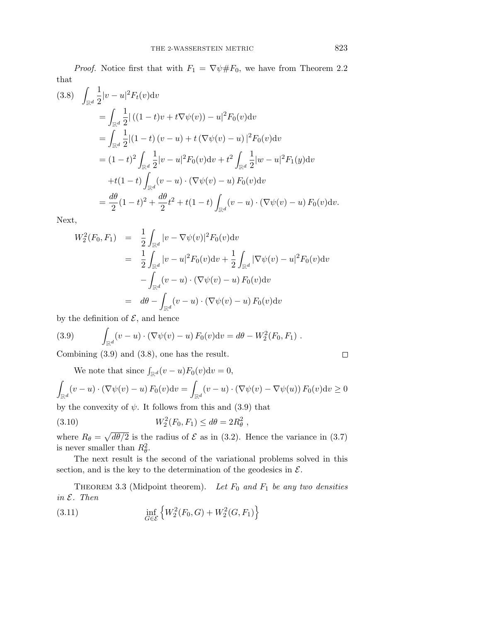*Proof.* Notice first that with  $F_1 = \nabla \psi \# F_0$ , we have from Theorem 2.2 that

$$
(3.8) \quad \int_{\mathbb{R}^d} \frac{1}{2} |v - u|^2 F_t(v) dv
$$
  
\n
$$
= \int_{\mathbb{R}^d} \frac{1}{2} |((1 - t)v + t\nabla \psi(v)) - u|^2 F_0(v) dv
$$
  
\n
$$
= \int_{\mathbb{R}^d} \frac{1}{2} |(1 - t)(v - u) + t(\nabla \psi(v) - u)|^2 F_0(v) dv
$$
  
\n
$$
= (1 - t)^2 \int_{\mathbb{R}^d} \frac{1}{2} |v - u|^2 F_0(v) dv + t^2 \int_{\mathbb{R}^d} \frac{1}{2} |w - u|^2 F_1(y) dv
$$
  
\n
$$
+ t(1 - t) \int_{\mathbb{R}^d} (v - u) \cdot (\nabla \psi(v) - u) F_0(v) dv
$$
  
\n
$$
= \frac{d\theta}{2} (1 - t)^2 + \frac{d\theta}{2} t^2 + t(1 - t) \int_{\mathbb{R}^d} (v - u) \cdot (\nabla \psi(v) - u) F_0(v) dv.
$$

Next,

$$
W_2^2(F_0, F_1) = \frac{1}{2} \int_{\mathbb{R}^d} |v - \nabla \psi(v)|^2 F_0(v) dv
$$
  
\n
$$
= \frac{1}{2} \int_{\mathbb{R}^d} |v - u|^2 F_0(v) dv + \frac{1}{2} \int_{\mathbb{R}^d} |\nabla \psi(v) - u|^2 F_0(v) dv
$$
  
\n
$$
- \int_{\mathbb{R}^d} (v - u) \cdot (\nabla \psi(v) - u) F_0(v) dv
$$
  
\n
$$
= d\theta - \int_{\mathbb{R}^d} (v - u) \cdot (\nabla \psi(v) - u) F_0(v) dv
$$

by the definition of  $\mathcal{E}$ , and hence

(3.9) 
$$
\int_{\mathbb{R}^d} (v - u) \cdot (\nabla \psi(v) - u) F_0(v) dv = d\theta - W_2^2(F_0, F_1).
$$

Combining (3.9) and (3.8), one has the result.

We note that since  $\int_{\mathbb{R}^d} (v - u) F_0(v) \mathrm{d}v = 0$ ,

$$
\int_{\mathbb{R}^d} (v - u) \cdot (\nabla \psi(v) - u) F_0(v) \mathrm{d}v = \int_{\mathbb{R}^d} (v - u) \cdot (\nabla \psi(v) - \nabla \psi(u)) F_0(v) \mathrm{d}v \ge 0
$$

by the convexity of  $\psi$ . It follows from this and (3.9) that

(3.10) 
$$
W_2^2(F_0, F_1) \le d\theta = 2R_\theta^2,
$$

where  $R_{\theta} = \sqrt{d\theta/2}$  is the radius of  $\mathcal E$  as in (3.2). Hence the variance in (3.7) is never smaller than  $R_{\theta}^2$ .

The next result is the second of the variational problems solved in this section, and is the key to the determination of the geodesics in  $\mathcal{E}$ .

THEOREM 3.3 (Midpoint theorem). Let  $F_0$  and  $F_1$  be any two densities in E. Then

(3.11) 
$$
\inf_{G \in \mathcal{E}} \left\{ W_2^2(F_0, G) + W_2^2(G, F_1) \right\}
$$

 $\Box$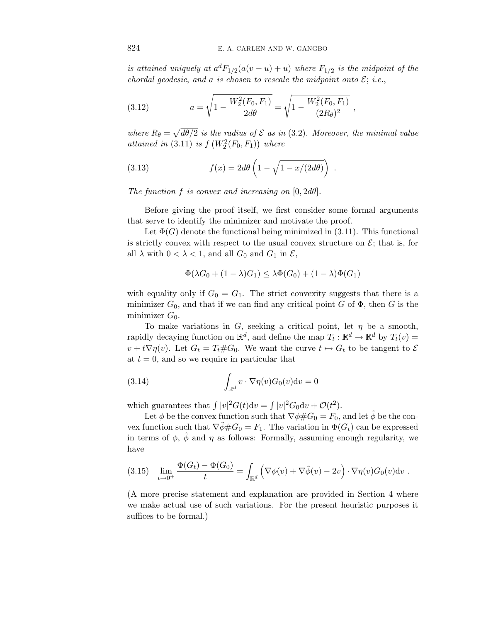is attained uniquely at  $a^dF_{1/2}(a(v-u)+u)$  where  $F_{1/2}$  is the midpoint of the chordal geodesic, and a is chosen to rescale the midpoint onto  $\mathcal{E}$ ; i.e.,

(3.12) 
$$
a = \sqrt{1 - \frac{W_2^2(F_0, F_1)}{2d\theta}} = \sqrt{1 - \frac{W_2^2(F_0, F_1)}{(2R_{\theta})^2}},
$$

where  $R_{\theta} = \sqrt{d\theta/2}$  is the radius of  $\mathcal E$  as in (3.2). Moreover, the minimal value attained in  $(3.11)$  is  $f(W_2^2(F_0, F_1))$  where

(3.13) 
$$
f(x) = 2d\theta \left(1 - \sqrt{1 - x/(2d\theta)}\right).
$$

The function  $f$  is convex and increasing on  $[0, 2d\theta]$ .

Before giving the proof itself, we first consider some formal arguments that serve to identify the minimizer and motivate the proof.

Let  $\Phi(G)$  denote the functional being minimized in (3.11). This functional is strictly convex with respect to the usual convex structure on  $\mathcal{E}$ ; that is, for all  $\lambda$  with  $0 < \lambda < 1$ , and all  $G_0$  and  $G_1$  in  $\mathcal{E}$ ,

$$
\Phi(\lambda G_0 + (1 - \lambda)G_1) \le \lambda \Phi(G_0) + (1 - \lambda)\Phi(G_1)
$$

with equality only if  $G_0 = G_1$ . The strict convexity suggests that there is a minimizer  $G_0$ , and that if we can find any critical point  $G$  of  $\Phi$ , then  $G$  is the minimizer  $G_0$ .

To make variations in *G*, seeking a critical point, let  $\eta$  be a smooth, rapidly decaying function on  $\mathbb{R}^d$ , and define the map  $T_t : \mathbb{R}^d \to \mathbb{R}^d$  by  $T_t(v) =$  $v + t\nabla \eta(v)$ . Let  $G_t = T_t \# G_0$ . We want the curve  $t \mapsto G_t$  to be tangent to  $\mathcal E$ at  $t = 0$ , and so we require in particular that

(3.14) 
$$
\int_{\mathbb{R}^d} v \cdot \nabla \eta(v) G_0(v) \mathrm{d} v = 0
$$

which guarantees that  $\int |v|^2 G(t) dv = \int |v|^2 G_0 dv + \mathcal{O}(t^2)$ .

Let  $\phi$  be the convex function such that  $\nabla \phi \# G_0 = F_0$ , and let  $\tilde{\phi}$  be the convex function such that  $\nabla \phi \# G_0 = F_1$ . The variation in  $\Phi(G_t)$  can be expressed in terms of  $\phi$ ,  $\dot{\phi}$  and  $\eta$  as follows: Formally, assuming enough regularity, we have

$$
(3.15) \quad \lim_{t \to 0^+} \frac{\Phi(G_t) - \Phi(G_0)}{t} = \int_{\mathbb{R}^d} \left( \nabla \phi(v) + \nabla \tilde{\phi}(v) - 2v \right) \cdot \nabla \eta(v) G_0(v) \mathrm{d}v \; .
$$

(A more precise statement and explanation are provided in Section 4 where we make actual use of such variations. For the present heuristic purposes it suffices to be formal.)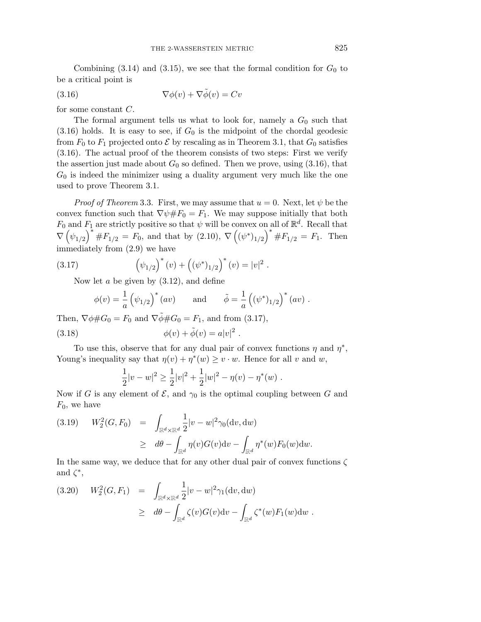Combining  $(3.14)$  and  $(3.15)$ , we see that the formal condition for  $G_0$  to be a critical point is

(3.16) 
$$
\nabla \phi(v) + \nabla \tilde{\phi}(v) = Cv
$$

for some constant *C*.

The formal argument tells us what to look for, namely a  $G_0$  such that  $(3.16)$  holds. It is easy to see, if  $G_0$  is the midpoint of the chordal geodesic from  $F_0$  to  $F_1$  projected onto  $\mathcal E$  by rescaling as in Theorem 3.1, that  $G_0$  satisfies (3.16). The actual proof of the theorem consists of two steps: First we verify the assertion just made about  $G_0$  so defined. Then we prove, using  $(3.16)$ , that *G*<sup>0</sup> is indeed the minimizer using a duality argument very much like the one used to prove Theorem 3.1.

*Proof of Theorem* 3.3. First, we may assume that  $u = 0$ . Next, let  $\psi$  be the convex function such that  $\nabla \psi \# F_0 = F_1$ . We may suppose initially that both *F*<sub>0</sub> and *F*<sub>1</sub> are strictly positive so that  $\psi$  will be convex on all of  $\mathbb{R}^d$ . Recall that  $\nabla (\psi_{1/2})^* \# F_{1/2} = F_0$ , and that by (2.10),  $\nabla ((\psi^*)_{1/2})^* \# F_{1/2} = F_1$ . Then immediately from (2.9) we have

(3.17) 
$$
\left(\psi_{1/2}\right)^*(v) + \left((\psi^*)_{1/2}\right)^*(v) = |v|^2.
$$

Now let *a* be given by (3.12), and define

$$
\phi(v) = \frac{1}{a} \left( \psi_{1/2} \right)^* (av) \quad \text{and} \quad \tilde{\phi} = \frac{1}{a} \left( (\psi^*)_{1/2} \right)^* (av) .
$$

Then,  $\nabla \phi \# G_0 = F_0$  and  $\nabla \tilde{\phi} \# G_0 = F_1$ , and from (3.17),

(3.18) 
$$
\phi(v) + \tilde{\phi}(v) = a|v|^2.
$$

To use this, observe that for any dual pair of convex functions  $\eta$  and  $\eta^*$ , Young's inequality say that  $\eta(v) + \eta^*(w) \geq v \cdot w$ . Hence for all *v* and *w*,

$$
\frac{1}{2}|v-w|^2 \ge \frac{1}{2}|v|^2 + \frac{1}{2}|w|^2 - \eta(v) - \eta^*(w) .
$$

Now if *G* is any element of  $\mathcal{E}$ , and  $\gamma_0$  is the optimal coupling between *G* and *F*0, we have

(3.19) 
$$
W_2^2(G, F_0) = \int_{\mathbb{R}^d \times \mathbb{R}^d} \frac{1}{2} |v - w|^2 \gamma_0(\mathrm{d}v, \mathrm{d}w)
$$

$$
\geq d\theta - \int_{\mathbb{R}^d} \eta(v) G(v) \mathrm{d}v - \int_{\mathbb{R}^d} \eta^*(w) F_0(w) \mathrm{d}w.
$$

In the same way, we deduce that for any other dual pair of convex functions *ζ* and  $\zeta^*$ ,

(3.20) 
$$
W_2^2(G, F_1) = \int_{\mathbb{R}^d \times \mathbb{R}^d} \frac{1}{2} |v - w|^2 \gamma_1(\mathrm{d}v, \mathrm{d}w) \geq d\theta - \int_{\mathbb{R}^d} \zeta(v) G(v) \mathrm{d}v - \int_{\mathbb{R}^d} \zeta^*(w) F_1(w) \mathrm{d}w.
$$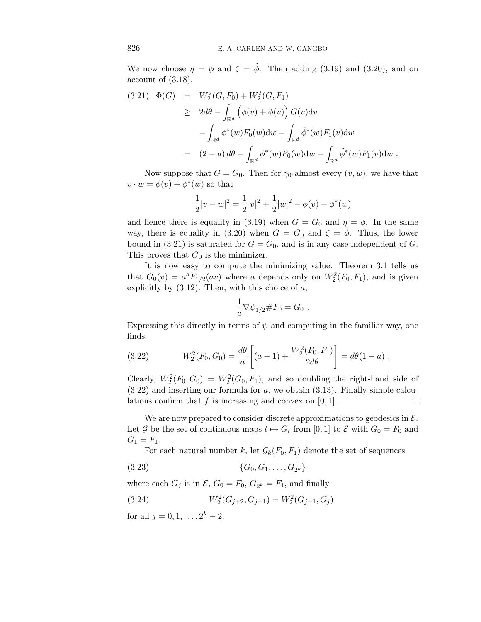We now choose  $\eta = \phi$  and  $\zeta = \tilde{\phi}$ . Then adding (3.19) and (3.20), and on account of (3.18),

$$
(3.21) \quad \Phi(G) = W_2^2(G, F_0) + W_2^2(G, F_1)
$$
  
\n
$$
\geq 2d\theta - \int_{\mathbb{R}^d} \left( \phi(v) + \tilde{\phi}(v) \right) G(v) dv
$$
  
\n
$$
- \int_{\mathbb{R}^d} \phi^*(w) F_0(w) dw - \int_{\mathbb{R}^d} \tilde{\phi}^*(w) F_1(v) dw
$$
  
\n
$$
= (2 - a) d\theta - \int_{\mathbb{R}^d} \phi^*(w) F_0(w) dw - \int_{\mathbb{R}^d} \tilde{\phi}^*(w) F_1(v) dw.
$$

Now suppose that  $G = G_0$ . Then for  $\gamma_0$ -almost every  $(v, w)$ , we have that  $v \cdot w = \phi(v) + \phi^*(w)$  so that

$$
\frac{1}{2}|v-w|^2 = \frac{1}{2}|v|^2 + \frac{1}{2}|w|^2 - \phi(v) - \phi^*(w)
$$

and hence there is equality in (3.19) when  $G = G_0$  and  $\eta = \phi$ . In the same way, there is equality in (3.20) when  $G = G_0$  and  $\zeta = \phi$ . Thus, the lower bound in (3.21) is saturated for  $G = G_0$ , and is in any case independent of  $G$ . This proves that  $G_0$  is the minimizer.

It is now easy to compute the minimizing value. Theorem 3.1 tells us that  $G_0(v) = a^d F_{1/2}(av)$  where *a* depends only on  $W_2^2(F_0, F_1)$ , and is given explicitly by (3.12). Then, with this choice of *a*,

$$
\frac{1}{a}\nabla \psi_{1/2} \# F_0 = G_0 \; .
$$

Expressing this directly in terms of  $\psi$  and computing in the familiar way, one finds

(3.22) 
$$
W_2^2(F_0, G_0) = \frac{d\theta}{a} \left[ (a-1) + \frac{W_2^2(F_0, F_1)}{2d\theta} \right] = d\theta (1-a) .
$$

Clearly,  $W_2^2(F_0, G_0) = W_2^2(G_0, F_1)$ , and so doubling the right-hand side of (3.22) and inserting our formula for *a*, we obtain (3.13). Finally simple calculations confirm that *f* is increasing and convex on [0*,* 1].  $\Box$ 

We are now prepared to consider discrete approximations to geodesics in  $\mathcal{E}$ . Let G be the set of continuous maps  $t \mapsto G_t$  from [0, 1] to E with  $G_0 = F_0$  and  $G_1 = F_1.$ 

For each natural number *k*, let  $\mathcal{G}_k(F_0, F_1)$  denote the set of sequences

$$
(3.23) \t{G_0, G_1, \ldots, G_{2^k}\}
$$

where each  $G_j$  is in  $\mathcal{E}, G_0 = F_0, G_{2^k} = F_1$ , and finally

(3.24) 
$$
W_2^2(G_{j+2}, G_{j+1}) = W_2^2(G_{j+1}, G_j)
$$

for all  $j = 0, 1, \ldots, 2^k - 2$ .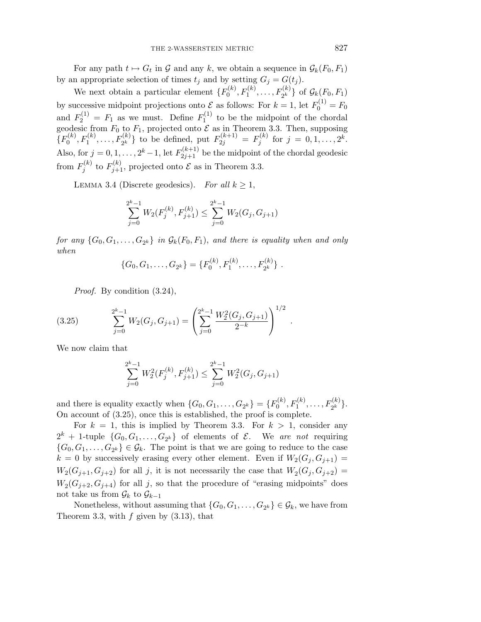For any path  $t \mapsto G_t$  in  $\mathcal G$  and any  $k$ , we obtain a sequence in  $\mathcal G_k(F_0,F_1)$ by an appropriate selection of times  $t_j$  and by setting  $G_j = G(t_j)$ .

We next obtain a particular element  $\{F_0^{(k)}, F_1^{(k)}, \ldots, F_{2^k}^{(k)}\}$  of  $\mathcal{G}_k(F_0, F_1)$ by successive midpoint projections onto  $\mathcal E$  as follows: For  $k = 1$ , let  $F_0^{(1)} = F_0$ and  $F_2^{(1)} = F_1$  as we must. Define  $F_1^{(1)}$  to be the midpoint of the chordal geodesic from  $F_0$  to  $F_1$ , projected onto  $\mathcal E$  as in Theorem 3.3. Then, supposing  ${F_0^{(k)}, F_1^{(k)}, \ldots, F_{2^k}^{(k)}}$  to be defined, put  $F_{2j}^{(k+1)} = F_j^{(k)}$  for  $j = 0, 1, \ldots, 2^k$ . Also, for  $j = 0, 1, \ldots, 2^k - 1$ , let  $F_{2j+1}^{(k+1)}$  be the midpoint of the chordal geodesic from  $F_j^{(k)}$  to  $F_{j+1}^{(k)}$ , projected onto  $\mathcal E$  as in Theorem 3.3.

LEMMA 3.4 (Discrete geodesics). For all  $k \geq 1$ ,

$$
\sum_{j=0}^{2^k-1} W_2(F_j^{(k)}, F_{j+1}^{(k)}) \le \sum_{j=0}^{2^k-1} W_2(G_j, G_{j+1})
$$

for any  $\{G_0, G_1, \ldots, G_{2^k}\}\$  in  $\mathcal{G}_k(F_0, F_1)$ , and there is equality when and only when

$$
\{G_0, G_1, \ldots, G_{2^k}\} = \{F_0^{(k)}, F_1^{(k)}, \ldots, F_{2^k}^{(k)}\}.
$$

*.*

Proof. By condition (3.24),

(3.25) 
$$
\sum_{j=0}^{2^{k}-1} W_2(G_j, G_{j+1}) = \left(\sum_{j=0}^{2^{k}-1} \frac{W_2^2(G_j, G_{j+1})}{2^{-k}}\right)^{1/2}
$$

We now claim that

$$
\sum_{j=0}^{2^k-1} W_2^2(F_j^{(k)}, F_{j+1}^{(k)}) \le \sum_{j=0}^{2^k-1} W_2^2(G_j, G_{j+1})
$$

and there is equality exactly when  $\{G_0, G_1, \ldots, G_{2^k}\} = \{F_0^{(k)}, F_1^{(k)}, \ldots, F_{2^k}^{(k)}\}.$ On account of (3.25), once this is established, the proof is complete.

For  $k = 1$ , this is implied by Theorem 3.3. For  $k > 1$ , consider any  $2^k + 1$ -tuple  $\{G_0, G_1, \ldots, G_{2^k}\}\$  of elements of  $\mathcal{E}$ . We are not requiring  ${G_0, G_1, \ldots, G_{2^k}} \in \mathcal{G}_k$ . The point is that we are going to reduce to the case  $k = 0$  by successively erasing every other element. Even if  $W_2(G_i, G_{i+1}) =$  $W_2(G_{j+1}, G_{j+2})$  for all *j*, it is not necessarily the case that  $W_2(G_j, G_{j+2}) =$  $W_2(G_{j+2}, G_{j+4})$  for all *j*, so that the procedure of "erasing midpoints" does not take us from  $\mathcal{G}_k$  to  $\mathcal{G}_{k-1}$ 

Nonetheless, without assuming that  $\{G_0, G_1, \ldots, G_{2^k}\} \in \mathcal{G}_k$ , we have from Theorem 3.3, with *f* given by (3.13), that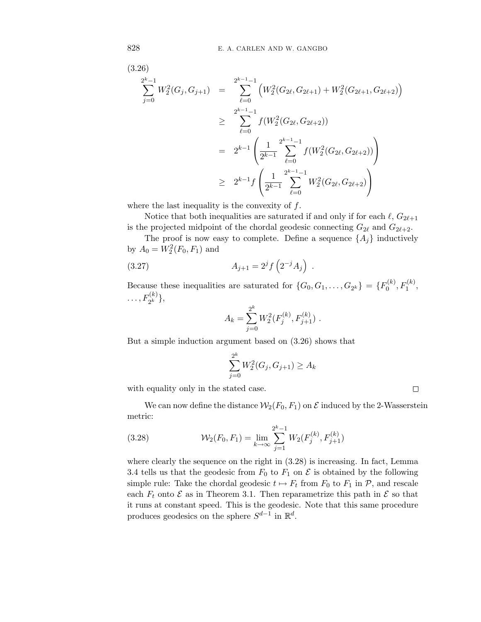$$
(3.26)
$$
\n
$$
\sum_{j=0}^{2^{k}-1} W_{2}^{2}(G_{j}, G_{j+1}) = \sum_{\ell=0}^{2^{k-1}-1} \left( W_{2}^{2}(G_{2\ell}, G_{2\ell+1}) + W_{2}^{2}(G_{2\ell+1}, G_{2\ell+2}) \right)
$$
\n
$$
\geq \sum_{\ell=0}^{2^{k-1}-1} f(W_{2}^{2}(G_{2\ell}, G_{2\ell+2}))
$$
\n
$$
= 2^{k-1} \left( \frac{1}{2^{k-1}} \sum_{\ell=0}^{2^{k-1}-1} f(W_{2}^{2}(G_{2\ell}, G_{2\ell+2})) \right)
$$
\n
$$
\geq 2^{k-1} f\left( \frac{1}{2^{k-1}} \sum_{\ell=0}^{2^{k-1}-1} W_{2}^{2}(G_{2\ell}, G_{2\ell+2}) \right)
$$

where the last inequality is the convexity of *f*.

Notice that both inequalities are saturated if and only if for each  $\ell$ ,  $G_{2\ell+1}$ is the projected midpoint of the chordal geodesic connecting  $G_{2\ell}$  and  $G_{2\ell+2}$ .

The proof is now easy to complete. Define a sequence  $\{A_j\}$  inductively by  $A_0 = W_2^2(F_0, F_1)$  and

(3.27) 
$$
A_{j+1} = 2^{j} f\left(2^{-j} A_{j}\right) .
$$

Because these inequalities are saturated for  $\{G_0, G_1, ..., G_{2^k}\} = \{F_0^{(k)}, F_1^{(k)},\}$  $\ldots, F_{2^k}^{(k)}\},\$ 

$$
A_k = \sum_{j=0}^{2^k} W_2^2(F_j^{(k)}, F_{j+1}^{(k)}) .
$$

But a simple induction argument based on (3.26) shows that

$$
\sum_{j=0}^{2^k} W_2^2(G_j, G_{j+1}) \ge A_k
$$

with equality only in the stated case.

We can now define the distance  $\mathcal{W}_2(F_0, F_1)$  on  $\mathcal E$  induced by the 2-Wasserstein metric:

 $\Box$ 

(3.28) 
$$
\mathcal{W}_2(F_0, F_1) = \lim_{k \to \infty} \sum_{j=1}^{2^k - 1} W_2(F_j^{(k)}, F_{j+1}^{(k)})
$$

where clearly the sequence on the right in (3.28) is increasing. In fact, Lemma 3.4 tells us that the geodesic from  $F_0$  to  $F_1$  on  $\mathcal E$  is obtained by the following simple rule: Take the chordal geodesic  $t \mapsto F_t$  from  $F_0$  to  $F_1$  in  $\mathcal{P}$ , and rescale each  $F_t$  onto  $\mathcal E$  as in Theorem 3.1. Then reparametrize this path in  $\mathcal E$  so that it runs at constant speed. This is the geodesic. Note that this same procedure produces geodesics on the sphere *S*d−<sup>1</sup> in Rd.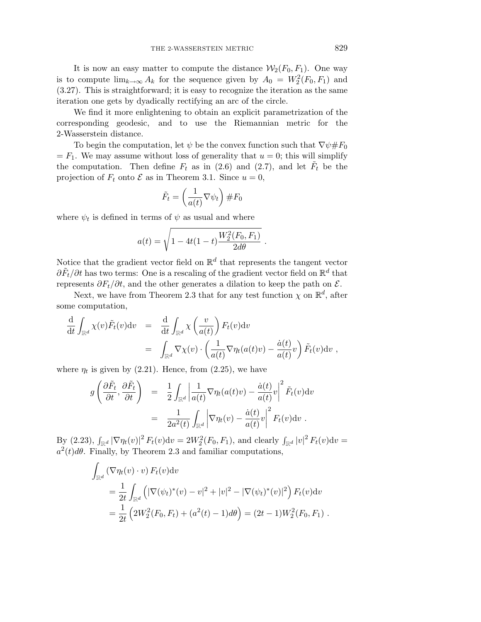It is now an easy matter to compute the distance  $\mathcal{W}_2(F_0, F_1)$ . One way is to compute  $\lim_{k\to\infty} A_k$  for the sequence given by  $A_0 = W_2^2(F_0, F_1)$  and (3.27). This is straightforward; it is easy to recognize the iteration as the same iteration one gets by dyadically rectifying an arc of the circle.

We find it more enlightening to obtain an explicit parametrization of the corresponding geodesic, and to use the Riemannian metric for the 2-Wasserstein distance.

To begin the computation, let  $\psi$  be the convex function such that  $\nabla \psi \# F_0$  $= F_1$ . We may assume without loss of generality that  $u = 0$ ; this will simplify the computation. Then define  $F_t$  as in (2.6) and (2.7), and let  $F_t$  be the projection of  $F_t$  onto  $\mathcal E$  as in Theorem 3.1. Since  $u=0$ ,

$$
\tilde{F}_t = \left(\frac{1}{a(t)}\nabla\psi_t\right) \#F_0
$$

where  $\psi_t$  is defined in terms of  $\psi$  as usual and where

$$
a(t) = \sqrt{1 - 4t(1 - t)\frac{W_2^2(F_0, F_1)}{2d\theta}}.
$$

Notice that the gradient vector field on  $\mathbb{R}^d$  that represents the tangent vector  $\partial \tilde{F}_t / \partial t$  has two terms: One is a rescaling of the gradient vector field on  $\mathbb{R}^d$  that represents  $\partial F_t/\partial t$ , and the other generates a dilation to keep the path on  $\mathcal{E}$ .

Next, we have from Theorem 2.3 that for any test function  $\chi$  on  $\mathbb{R}^d$ , after some computation,

$$
\frac{d}{dt} \int_{\mathbb{R}^d} \chi(v) \tilde{F}_t(v) dv = \frac{d}{dt} \int_{\mathbb{R}^d} \chi\left(\frac{v}{a(t)}\right) F_t(v) dv
$$
\n
$$
= \int_{\mathbb{R}^d} \nabla \chi(v) \cdot \left(\frac{1}{a(t)} \nabla \eta_t(a(t)v) - \frac{\dot{a}(t)}{a(t)} v\right) \tilde{F}_t(v) dv,
$$

where  $\eta_t$  is given by (2.21). Hence, from (2.25), we have

$$
g\left(\frac{\partial \tilde{F}_t}{\partial t}, \frac{\partial \tilde{F}_t}{\partial t}\right) = \frac{1}{2} \int_{\mathbb{R}^d} \left|\frac{1}{a(t)} \nabla \eta_t(a(t)v) - \frac{\dot{a}(t)}{a(t)} v\right|^2 \tilde{F}_t(v) dv
$$
  

$$
= \frac{1}{2a^2(t)} \int_{\mathbb{R}^d} \left|\nabla \eta_t(v) - \frac{\dot{a}(t)}{a(t)} v\right|^2 F_t(v) dv.
$$

 $\int_{\mathbb{R}^d} |v|^2 F_t(v) dv = 2W_2^2(F_0, F_1)$ , and clearly  $\int_{\mathbb{R}^d} |v|^2 F_t(v) dv =$  $a^2(t)d\theta$ . Finally, by Theorem 2.3 and familiar computations,

$$
\int_{\mathbb{R}^d} (\nabla \eta_t(v) \cdot v) F_t(v) dv
$$
\n
$$
= \frac{1}{2t} \int_{\mathbb{R}^d} (|\nabla (\psi_t)^*(v) - v|^2 + |v|^2 - |\nabla (\psi_t)^*(v)|^2) F_t(v) dv
$$
\n
$$
= \frac{1}{2t} (2W_2^2(F_0, F_t) + (a^2(t) - 1) d\theta) = (2t - 1)W_2^2(F_0, F_1).
$$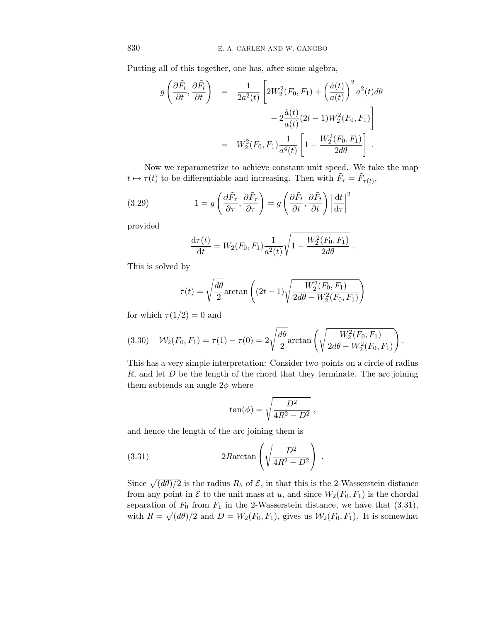Putting all of this together, one has, after some algebra,

$$
g\left(\frac{\partial \tilde{F}_t}{\partial t}, \frac{\partial \tilde{F}_t}{\partial t}\right) = \frac{1}{2a^2(t)} \left[2W_2^2(F_0, F_1) + \left(\frac{\dot{a}(t)}{a(t)}\right)^2 a^2(t)d\theta - 2\frac{\dot{a}(t)}{a(t)}(2t-1)W_2^2(F_0, F_1)\right]
$$

$$
= W_2^2(F_0, F_1)\frac{1}{a^4(t)} \left[1 - \frac{W_2^2(F_0, F_1)}{2d\theta}\right].
$$

Now we reparametrize to achieve constant unit speed. We take the map *t*  $\mapsto \tau(t)$  to be differentiable and increasing. Then with  $\tilde{F}_{\tau} = \tilde{F}_{\tau(t)}$ ,

(3.29) 
$$
1 = g\left(\frac{\partial \tilde{F}_{\tau}}{\partial \tau}, \frac{\partial \tilde{F}_{\tau}}{\partial \tau}\right) = g\left(\frac{\partial \tilde{F}_{t}}{\partial t}, \frac{\partial \tilde{F}_{t}}{\partial t}\right) \left|\frac{\mathrm{d}t}{\mathrm{d}\tau}\right|^{2}
$$

provided

$$
\frac{\mathrm{d}\tau(t)}{\mathrm{d}t} = W_2(F_0, F_1) \frac{1}{a^2(t)} \sqrt{1 - \frac{W_2^2(F_0, F_1)}{2d\theta}}.
$$

This is solved by

$$
\tau(t) = \sqrt{\frac{d\theta}{2}} \arctan\left( (2t - 1)\sqrt{\frac{W_2^2(F_0, F_1)}{2d\theta - W_2^2(F_0, F_1)}}\right)
$$

for which  $\tau(1/2) = 0$  and

(3.30) 
$$
W_2(F_0, F_1) = \tau(1) - \tau(0) = 2\sqrt{\frac{d\theta}{2}} \arctan\left(\sqrt{\frac{W_2^2(F_0, F_1)}{2d\theta - W_2^2(F_0, F_1)}}\right).
$$

This has a very simple interpretation: Consider two points on a circle of radius *R*, and let *D* be the length of the chord that they terminate. The arc joining them subtends an angle 2*φ* where

$$
\tan(\phi) = \sqrt{\frac{D^2}{4R^2 - D^2}} ,
$$

and hence the length of the arc joining them is

(3.31) 
$$
2R \arctan\left(\sqrt{\frac{D^2}{4R^2 - D^2}}\right).
$$

Since  $\sqrt{\frac{d\theta}{2}}$  is the radius  $R_\theta$  of  $\mathcal{E}$ , in that this is the 2-Wasserstein distance from any point in  $\mathcal E$  to the unit mass at *u*, and since  $W_2(F_0, F_1)$  is the chordal separation of  $F_0$  from  $F_1$  in the 2-Wasserstein distance, we have that  $(3.31)$ , with  $R = \sqrt{\frac{d\theta}{2}}$  and  $D = W_2(F_0, F_1)$ , gives us  $\mathcal{W}_2(F_0, F_1)$ . It is somewhat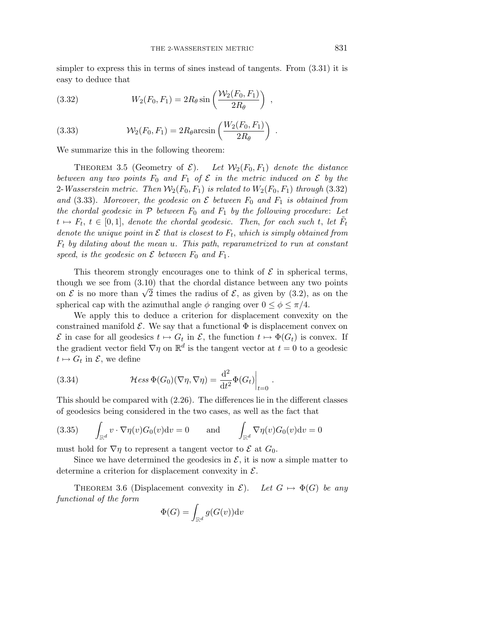simpler to express this in terms of sines instead of tangents. From (3.31) it is easy to deduce that

*,*

*.*

(3.32) 
$$
W_2(F_0, F_1) = 2R_\theta \sin\left(\frac{\mathcal{W}_2(F_0, F_1)}{2R_\theta}\right)
$$

(3.33) 
$$
\mathcal{W}_2(F_0, F_1) = 2R_\theta \arcsin\left(\frac{W_2(F_0, F_1)}{2R_\theta}\right)
$$

We summarize this in the following theorem:

THEOREM 3.5 (Geometry of  $\mathcal{E}$ ). Let  $\mathcal{W}_2(F_0, F_1)$  denote the distance between any two points  $F_0$  and  $F_1$  of  $\mathcal E$  in the metric induced on  $\mathcal E$  by the 2-*Wasserstein metric.* Then  $\mathcal{W}_2(F_0, F_1)$  is related to  $W_2(F_0, F_1)$  through (3.32) and (3.33). Moreover, the geodesic on  $\mathcal E$  between  $F_0$  and  $F_1$  is obtained from the chordal geodesic in  $P$  between  $F_0$  and  $F_1$  by the following procedure: Let  $t \mapsto F_t$ ,  $t \in [0,1]$ , denote the chordal geodesic. Then, for each such *t*, let  $F_t$ denote the unique point in  $\mathcal E$  that is closest to  $F_t$ , which is simply obtained from *F*<sup>t</sup> by dilating about the mean *u*. This path, reparametrized to run at constant speed, is the geodesic on  $\mathcal E$  between  $F_0$  and  $F_1$ .

This theorem strongly encourages one to think of  $\mathcal E$  in spherical terms, though we see from (3.10) that the chordal distance between any two points on  $\mathcal E$  is no more than  $\sqrt{2}$  times the radius of  $\mathcal E$ , as given by (3.2), as on the spherical cap with the azimuthal angle  $\phi$  ranging over  $0 \leq \phi \leq \pi/4$ .

We apply this to deduce a criterion for displacement convexity on the constrained manifold  $\mathcal{E}$ . We say that a functional  $\Phi$  is displacement convex on  $\mathcal E$  in case for all geodesics  $t \mapsto G_t$  in  $\mathcal E$ , the function  $t \mapsto \Phi(G_t)$  is convex. If the gradient vector field  $\nabla \eta$  on  $\mathbb{R}^d$  is the tangent vector at  $t=0$  to a geodesic  $t \mapsto G_t$  in  $\mathcal{E}$ , we define

(3.34) 
$$
\mathcal{H}ess \Phi(G_0)(\nabla \eta, \nabla \eta) = \frac{\mathrm{d}^2}{\mathrm{d}t^2} \Phi(G_t)\Big|_{t=0}.
$$

This should be compared with (2.26). The differences lie in the different classes of geodesics being considered in the two cases, as well as the fact that

(3.35) 
$$
\int_{\mathbb{R}^d} v \cdot \nabla \eta(v) G_0(v) \mathrm{d} v = 0 \quad \text{and} \quad \int_{\mathbb{R}^d} \nabla \eta(v) G_0(v) \mathrm{d} v = 0
$$

must hold for  $\nabla \eta$  to represent a tangent vector to  $\mathcal E$  at  $G_0$ .

Since we have determined the geodesics in  $\mathcal{E}$ , it is now a simple matter to determine a criterion for displacement convexity in  $\mathcal{E}$ .

THEOREM 3.6 (Displacement convexity in  $\mathcal{E}$ ). Let  $G \mapsto \Phi(G)$  be any functional of the form

$$
\Phi(G) = \int_{\mathbb{R}^d} g(G(v)) \mathrm{d} v
$$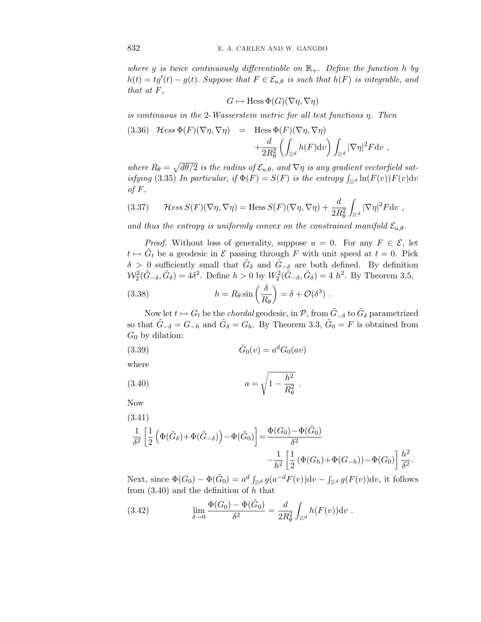where g is twice continuously differentiable on  $\mathbb{R}_+$ . Define the function *h* by  $h(t) = tg'(t) - g(t)$ . Suppose that  $F \in \mathcal{E}_{u,\theta}$  is such that  $h(F)$  is integrable, and that at *F*,

$$
G \mapsto \text{Hess}\,\Phi(G)(\nabla \eta, \nabla \eta)
$$

is continuous in the 2-Wasserstein metric for all test functions *η*. Then

(3.36) 
$$
\mathcal{H}ess \Phi(F)(\nabla \eta, \nabla \eta) = \text{Hess } \Phi(F)(\nabla \eta, \nabla \eta)
$$
  
  $+ \frac{d}{2R_{\theta}^2} \left( \int_{\mathbb{R}^d} h(F) dv \right) \int_{\mathbb{R}^d} |\nabla \eta|^2 F dv$ ,

where  $R_{\theta} = \sqrt{d\theta/2}$  is the radius of  $\mathcal{E}_{u,\theta}$ , and  $\nabla \eta$  is any gradient vectorfield satisfying (3.35) In particular, if  $\Phi(F) = S(F)$  is the entropy  $\int_{\mathbb{R}^d} \ln(F(v)) F(v) dv$ of  $F$ ,

(3.37) 
$$
\mathcal{H}ess S(F)(\nabla \eta, \nabla \eta) = \text{Hess} S(F)(\nabla \eta, \nabla \eta) + \frac{d}{2R_{\theta}^2} \int_{\mathbb{R}^d} |\nabla \eta|^2 F \, dv,
$$

and thus the entropy is uniformly convex on the constrained manifold  $\mathcal{E}_{u,\theta}$ .

*Proof.* Without loss of generality, suppose  $u = 0$ . For any  $F \in \mathcal{E}$ , let  $t \mapsto \tilde{G}_t$  be a geodesic in  $\mathcal E$  passing through *F* with unit speed at  $t = 0$ . Pick  $\delta$  > 0 sufficiently small that  $\tilde{G}_{\delta}$  and  $\tilde{G}_{-\delta}$  are both defined. By definition  $\mathcal{W}_2^2(\tilde{G}_{-\delta}, \tilde{G}_{\delta}) = 4\delta^2$ . Define  $h > 0$  by  $W_2^2(\tilde{G}_{-\delta}, \tilde{G}_{\delta}) = 4 h^2$ . By Theorem 3.5,

(3.38) 
$$
h = R_{\theta} \sin\left(\frac{\delta}{R_{\theta}}\right) = \delta + \mathcal{O}(\delta^3) .
$$

Now let *t*  $\mapsto G_t$  be the *chordal* geodesic, in  $\mathcal{P}$ , from  $\tilde{G}_{-\delta}$  to  $\tilde{G}_{\delta}$  parametrized so that  $\tilde{G}_{-\delta} = G_{-h}$  and  $\tilde{G}_{\delta} = G_h$ . By Theorem 3.3,  $\tilde{G}_0 = F$  is obtained from  $G_0$  by dilation:

$$
(3.39) \qquad \qquad \tilde{G}_0(v) = a^d G_0(av)
$$

where

(3.40) 
$$
a = \sqrt{1 - \frac{h^2}{R_{\theta}^2}}.
$$

Now

(3.41)  
\n
$$
\frac{1}{\delta^2} \left[ \frac{1}{2} \left( \Phi(\tilde{G}_{\delta}) + \Phi(\tilde{G}_{-\delta}) \right) - \Phi(\tilde{G}_0) \right] = \frac{\Phi(G_0) - \Phi(\tilde{G}_0)}{\delta^2} - \frac{1}{h^2} \left[ \frac{1}{2} \left( \Phi(G_h) + \Phi(G_{-h}) \right) - \Phi(G_0) \right] \frac{h^2}{\delta^2}.
$$

Next, since  $\Phi(G_0) - \Phi(\tilde{G}_0) = a^d \int_{\mathbb{R}^d} g(a^{-d}F(v))dv - \int_{\mathbb{R}^d} g(F(v))dv$ , it follows from (3.40) and the definition of *h* that

(3.42) 
$$
\lim_{\delta \to 0} \frac{\Phi(G_0) - \Phi(\tilde{G}_0)}{\delta^2} = \frac{d}{2R_{\theta}^2} \int_{\mathbb{R}^d} h(F(v)) \, dv \, .
$$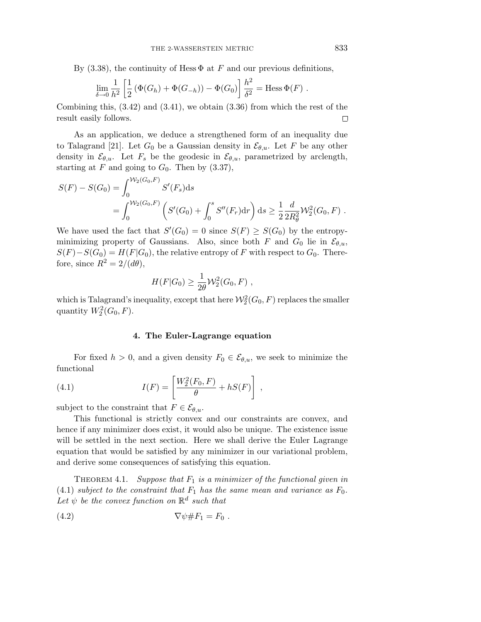By (3.38), the continuity of Hess  $\Phi$  at *F* and our previous definitions,

$$
\lim_{\delta \to 0} \frac{1}{h^2} \left[ \frac{1}{2} \left( \Phi(G_h) + \Phi(G_{-h}) \right) - \Phi(G_0) \right] \frac{h^2}{\delta^2} = \text{Hess } \Phi(F) .
$$

Combining this, (3.42) and (3.41), we obtain (3.36) from which the rest of the result easily follows.  $\Box$ 

As an application, we deduce a strengthened form of an inequality due to Talagrand [21]. Let  $G_0$  be a Gaussian density in  $\mathcal{E}_{\theta,u}$ . Let F be any other density in  $\mathcal{E}_{\theta,u}$ . Let  $F_s$  be the geodesic in  $\mathcal{E}_{\theta,u}$ , parametrized by arclength, starting at  $F$  and going to  $G_0$ . Then by  $(3.37)$ ,

$$
S(F) - S(G_0) = \int_0^{\mathcal{W}_2(G_0, F)} S'(F_s) ds
$$
  
= 
$$
\int_0^{\mathcal{W}_2(G_0, F)} \left( S'(G_0) + \int_0^s S''(F_r) dr \right) ds \ge \frac{1}{2} \frac{d}{2R_\theta^2} \mathcal{W}_2^2(G_0, F) .
$$

We have used the fact that  $S'(G_0)=0$  since  $S(F) \geq S(G_0)$  by the entropyminimizing property of Gaussians. Also, since both *F* and  $G_0$  lie in  $\mathcal{E}_{\theta,u}$ ,  $S(F) - S(G_0) = H(F|G_0)$ , the relative entropy of *F* with respect to  $G_0$ . Therefore, since  $R^2 = 2/(d\theta)$ ,

$$
H(F|G_0) \geq \frac{1}{2\theta} \mathcal{W}_2^2(G_0, F) ,
$$

which is Talagrand's inequality, except that here  $\mathcal{W}_2^2(G_0,F)$  replaces the smaller quantity  $W_2^2(G_0, F)$ .

## **4. The Euler-Lagrange equation**

For fixed  $h > 0$ , and a given density  $F_0 \in \mathcal{E}_{\theta,u}$ , we seek to minimize the functional

(4.1) 
$$
I(F) = \left[ \frac{W_2^2(F_0, F)}{\theta} + hS(F) \right],
$$

subject to the constraint that  $F \in \mathcal{E}_{\theta,u}$ .

This functional is strictly convex and our constraints are convex, and hence if any minimizer does exist, it would also be unique. The existence issue will be settled in the next section. Here we shall derive the Euler Lagrange equation that would be satisfied by any minimizer in our variational problem, and derive some consequences of satisfying this equation.

THEOREM 4.1. Suppose that  $F_1$  is a minimizer of the functional given in (4.1) subject to the constraint that  $F_1$  has the same mean and variance as  $F_0$ . Let  $\psi$  be the convex function on  $\mathbb{R}^d$  such that

$$
\nabla \psi \# F_1 = F_0 .
$$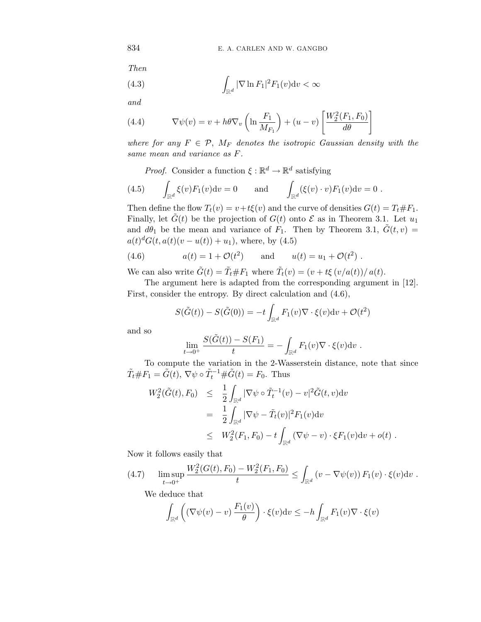Then

(4.3) 
$$
\int_{\mathbb{R}^d} |\nabla \ln F_1|^2 F_1(v) \mathrm{d} v < \infty
$$

and

(4.4) 
$$
\nabla \psi(v) = v + h\theta \nabla_v \left( \ln \frac{F_1}{M_{F_1}} \right) + (u - v) \left[ \frac{W_2^2(F_1, F_0)}{d\theta} \right]
$$

where for any  $F \in \mathcal{P}$ ,  $M_F$  denotes the isotropic Gaussian density with the same mean and variance as *F*.

*Proof.* Consider a function  $\xi : \mathbb{R}^d \to \mathbb{R}^d$  satisfying

(4.5) 
$$
\int_{\mathbb{R}^d} \xi(v) F_1(v) dv = 0 \quad \text{and} \quad \int_{\mathbb{R}^d} (\xi(v) \cdot v) F_1(v) dv = 0.
$$

Then define the flow  $T_t(v) = v + t\xi(v)$  and the curve of densities  $G(t) = T_t \# F_1$ . Finally, let  $G(t)$  be the projection of  $G(t)$  onto  $\mathcal E$  as in Theorem 3.1. Let  $u_1$ and  $d\theta_1$  be the mean and variance of  $F_1$ . Then by Theorem 3.1,  $\tilde{G}(t, v)$  =  $a(t)^{d}G(t, a(t)(v - u(t)) + u_1)$ , where, by (4.5)

(4.6) 
$$
a(t) = 1 + \mathcal{O}(t^2)
$$
 and  $u(t) = u_1 + \mathcal{O}(t^2)$ .

We can also write  $\tilde{G}(t) = \tilde{T}_t \# F_1$  where  $\tilde{T}_t(v) = (v + t\xi(v/a(t))/a(t)$ .

The argument here is adapted from the corresponding argument in [12]. First, consider the entropy. By direct calculation and (4.6),

$$
S(\tilde{G}(t)) - S(\tilde{G}(0)) = -t \int_{\mathbb{R}^d} F_1(v) \nabla \cdot \xi(v) \mathrm{d}v + \mathcal{O}(t^2)
$$

and so

$$
\lim_{t \to 0^+} \frac{S(\tilde{G}(t)) - S(F_1)}{t} = - \int_{\mathbb{R}^d} F_1(v) \nabla \cdot \xi(v) \mathrm{d}v.
$$

To compute the variation in the 2-Wasserstein distance, note that since  $\tilde{T}_t \# F_1 = \tilde{G}(t), \nabla \psi \circ \tilde{T}_t^{-1} \# \tilde{G}(t) = F_0.$  Thus

$$
W_2^2(\tilde{G}(t), F_0) \leq \frac{1}{2} \int_{\mathbb{R}^d} |\nabla \psi \circ \tilde{T}_t^{-1}(v) - v|^2 \tilde{G}(t, v) dv
$$
  
\n
$$
= \frac{1}{2} \int_{\mathbb{R}^d} |\nabla \psi - \tilde{T}_t(v)|^2 F_1(v) dv
$$
  
\n
$$
\leq W_2^2(F_1, F_0) - t \int_{\mathbb{R}^d} (\nabla \psi - v) \cdot \xi F_1(v) dv + o(t) .
$$

Now it follows easily that

$$
(4.7) \qquad \limsup_{t \to 0^+} \frac{W_2^2(G(t), F_0) - W_2^2(F_1, F_0)}{t} \le \int_{\mathbb{R}^d} \left( v - \nabla \psi(v) \right) F_1(v) \cdot \xi(v) \mathrm{d}v \; .
$$

We deduce that

$$
\int_{\mathbb{R}^d} \left( (\nabla \psi(v) - v) \frac{F_1(v)}{\theta} \right) \cdot \xi(v) \mathrm{d}v \le -h \int_{\mathbb{R}^d} F_1(v) \nabla \cdot \xi(v)
$$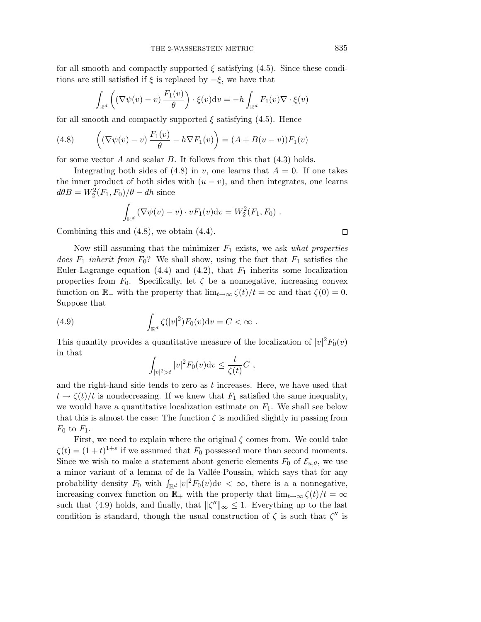for all smooth and compactly supported  $\xi$  satisfying (4.5). Since these conditions are still satisfied if  $\xi$  is replaced by  $-\xi$ , we have that

$$
\int_{\mathbb{R}^d} \left( (\nabla \psi(v) - v) \frac{F_1(v)}{\theta} \right) \cdot \xi(v) \mathrm{d}v = -h \int_{\mathbb{R}^d} F_1(v) \nabla \cdot \xi(v)
$$

for all smooth and compactly supported  $\xi$  satisfying (4.5). Hence

(4.8) 
$$
\left( (\nabla \psi(v) - v) \frac{F_1(v)}{\theta} - h \nabla F_1(v) \right) = (A + B(u - v))F_1(v)
$$

for some vector *A* and scalar *B*. It follows from this that (4.3) holds.

Integrating both sides of  $(4.8)$  in *v*, one learns that  $A = 0$ . If one takes the inner product of both sides with  $(u - v)$ , and then integrates, one learns  $d\theta B = W_2^2(F_1, F_0)/\theta - dh$  since

$$
\int_{\mathbb{R}^d} \left( \nabla \psi(v) - v \right) \cdot v F_1(v) \mathrm{d} v = W_2^2(F_1, F_0) \ .
$$

Combining this and (4.8), we obtain (4.4).

Now still assuming that the minimizer  $F_1$  exists, we ask *what properties* does  $F_1$  inherit from  $F_0$ ? We shall show, using the fact that  $F_1$  satisfies the Euler-Lagrange equation  $(4.4)$  and  $(4.2)$ , that  $F_1$  inherits some localization properties from  $F_0$ . Specifically, let  $\zeta$  be a nonnegative, increasing convex function on  $\mathbb{R}_+$  with the property that  $\lim_{t\to\infty} \zeta(t)/t = \infty$  and that  $\zeta(0)=0$ . Suppose that

(4.9) 
$$
\int_{\mathbb{R}^d} \zeta(|v|^2) F_0(v) \mathrm{d}v = C < \infty.
$$

This quantity provides a quantitative measure of the localization of  $|v|^2 F_0(v)$ in that

$$
\int_{|v|^2>t}|v|^2F_0(v)\mathrm{d}v\leq \frac{t}{\zeta(t)}C,
$$

and the right-hand side tends to zero as *t* increases. Here, we have used that  $t \to \zeta(t)/t$  is nondecreasing. If we knew that  $F_1$  satisfied the same inequality, we would have a quantitative localization estimate on  $F_1$ . We shall see below that this is almost the case: The function  $\zeta$  is modified slightly in passing from  $F_0$  to  $F_1$ .

First, we need to explain where the original  $\zeta$  comes from. We could take  $\zeta(t) = (1+t)^{1+\varepsilon}$  if we assumed that  $F_0$  possessed more than second moments. Since we wish to make a statement about generic elements  $F_0$  of  $\mathcal{E}_{u,\theta}$ , we use a minor variant of a lemma of de la Vallée-Poussin, which says that for any probability density  $F_0$  with  $\int_{\mathbb{R}^d} |v|^2 F_0(v) \mathrm{d}v < \infty$ , there is a a nonnegative, increasing convex function on  $\mathbb{R}_+$  with the property that  $\lim_{t\to\infty} \zeta(t)/t = \infty$ such that (4.9) holds, and finally, that  $\|\zeta''\|_{\infty} \leq 1$ . Everything up to the last condition is standard, though the usual construction of  $\zeta$  is such that  $\zeta''$  is

 $\Box$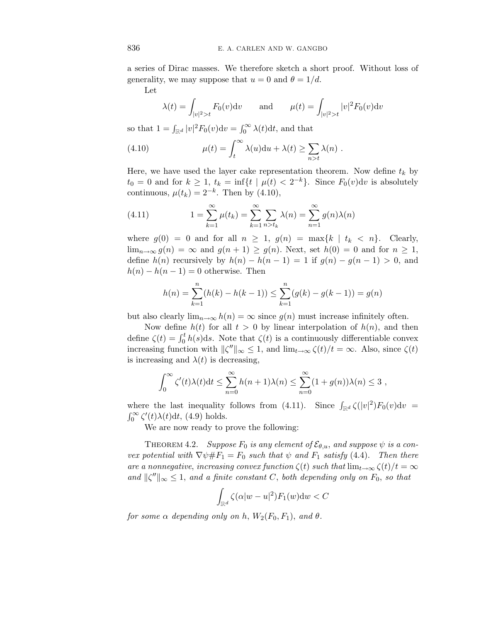a series of Dirac masses. We therefore sketch a short proof. Without loss of generality, we may suppose that  $u = 0$  and  $\theta = 1/d$ .

Let

$$
\lambda(t) = \int_{|v|^2 > t} F_0(v) dv
$$
 and  $\mu(t) = \int_{|v|^2 > t} |v|^2 F_0(v) dv$ 

so that  $1 = \int_{\mathbb{R}^d} |v|^2 F_0(v) \mathrm{d}v = \int_0^\infty \lambda(t) \mathrm{d}t$ , and that

(4.10) 
$$
\mu(t) = \int_t^{\infty} \lambda(u) \mathrm{d}u + \lambda(t) \ge \sum_{n>t} \lambda(n) .
$$

Here, we have used the layer cake representation theorem. Now define  $t_k$  by  $t_0 = 0$  and for  $k \geq 1$ ,  $t_k = \inf\{t \mid \mu(t) < 2^{-k}\}$ . Since  $F_0(v)dv$  is absolutely continuous,  $\mu(t_k)=2^{-k}$ . Then by (4.10),

(4.11) 
$$
1 = \sum_{k=1}^{\infty} \mu(t_k) = \sum_{k=1}^{\infty} \sum_{n > t_k} \lambda(n) = \sum_{n=1}^{\infty} g(n) \lambda(n)
$$

where  $g(0) = 0$  and for all  $n \geq 1$ ,  $g(n) = \max\{k \mid t_k < n\}$ . Clearly, lim<sub>n→∞</sub>  $g(n) = \infty$  and  $g(n + 1) \ge g(n)$ . Next, set  $h(0) = 0$  and for  $n \ge 1$ , define  $h(n)$  recursively by  $h(n) - h(n-1) = 1$  if  $g(n) - g(n-1) > 0$ , and  $h(n) - h(n-1) = 0$  otherwise. Then

$$
h(n) = \sum_{k=1}^{n} (h(k) - h(k-1)) \le \sum_{k=1}^{n} (g(k) - g(k-1)) = g(n)
$$

but also clearly  $\lim_{n\to\infty} h(n) = \infty$  since  $g(n)$  must increase infinitely often.

Now define  $h(t)$  for all  $t > 0$  by linear interpolation of  $h(n)$ , and then define  $\zeta(t) = \int_0^t h(s)ds$ . Note that  $\zeta(t)$  is a continuously differentiable convex increasing function with  $\|\zeta''\|_{\infty} \leq 1$ , and  $\lim_{t\to\infty} \zeta(t)/t = \infty$ . Also, since  $\zeta(t)$ is increasing and  $\lambda(t)$  is decreasing,

$$
\int_0^\infty \zeta'(t)\lambda(t)dt \leq \sum_{n=0}^\infty h(n+1)\lambda(n) \leq \sum_{n=0}^\infty (1+g(n))\lambda(n) \leq 3,
$$

where the last inequality follows from (4.11). Since  $\int_{\mathbb{R}^d} \zeta(|v|^2) F_0(v) \mathrm{d}v =$  $\int_0^\infty \zeta'(t)\lambda(t)dt$ , (4.9) holds.

We are now ready to prove the following:

THEOREM 4.2. Suppose  $F_0$  is any element of  $\mathcal{E}_{\theta,u}$ , and suppose  $\psi$  is a convex potential with  $\nabla \psi \# F_1 = F_0$  such that  $\psi$  and  $F_1$  satisfy (4.4). Then there are a nonnegative, increasing convex function  $\zeta(t)$  such that  $\lim_{t\to\infty} \zeta(t)/t = \infty$ and  $\|\zeta''\|_{\infty} \leq 1$ , and a finite constant *C*, both depending only on  $F_0$ , so that

$$
\int_{\mathbb{R}^d} \zeta(\alpha |w - u|^2) F_1(w) \mathrm{d}w < C
$$

for some  $\alpha$  depending only on  $h$ ,  $W_2(F_0, F_1)$ , and  $\theta$ .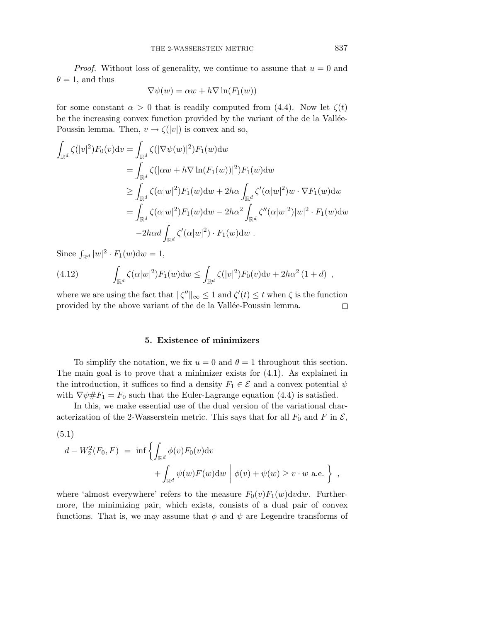*Proof.* Without loss of generality, we continue to assume that  $u = 0$  and  $\theta = 1$ , and thus

$$
\nabla \psi(w) = \alpha w + h \nabla \ln(F_1(w))
$$

for some constant  $\alpha > 0$  that is readily computed from (4.4). Now let  $\zeta(t)$ be the increasing convex function provided by the variant of the de la Vallée-Poussin lemma. Then,  $v \rightarrow \zeta(|v|)$  is convex and so,

$$
\int_{\mathbb{R}^d} \zeta(|v|^2) F_0(v) \mathrm{d}v = \int_{\mathbb{R}^d} \zeta(|\nabla \psi(w)|^2) F_1(w) \mathrm{d}w
$$
\n
$$
= \int_{\mathbb{R}^d} \zeta(|\alpha w + h \nabla \ln(F_1(w))|^2) F_1(w) \mathrm{d}w
$$
\n
$$
\geq \int_{\mathbb{R}^d} \zeta(\alpha|w|^2) F_1(w) \mathrm{d}w + 2h \alpha \int_{\mathbb{R}^d} \zeta'(\alpha|w|^2) w \cdot \nabla F_1(w) \mathrm{d}w
$$
\n
$$
= \int_{\mathbb{R}^d} \zeta(\alpha|w|^2) F_1(w) \mathrm{d}w - 2h \alpha^2 \int_{\mathbb{R}^d} \zeta''(\alpha|w|^2) |w|^2 \cdot F_1(w) \mathrm{d}w
$$
\n
$$
-2h \alpha d \int_{\mathbb{R}^d} \zeta'(\alpha|w|^2) \cdot F_1(w) \mathrm{d}w .
$$

Since  $\int_{\mathbb{R}^d} |w|^2 \cdot F_1(w) \, \mathrm{d}w = 1$ ,

(4.12) 
$$
\int_{\mathbb{R}^d} \zeta(\alpha |w|^2) F_1(w) \mathrm{d}w \le \int_{\mathbb{R}^d} \zeta(|v|^2) F_0(v) \mathrm{d}v + 2h\alpha^2 (1+d) ,
$$

where we are using the fact that  $\|\zeta''\|_{\infty} \leq 1$  and  $\zeta'(t) \leq t$  when  $\zeta$  is the function provided by the above variant of the de la Vallée-Poussin lemma.  $\Box$ 

#### **5. Existence of minimizers**

To simplify the notation, we fix  $u = 0$  and  $\theta = 1$  throughout this section. The main goal is to prove that a minimizer exists for (4.1). As explained in the introduction, it suffices to find a density  $F_1 \in \mathcal{E}$  and a convex potential  $\psi$ with  $\nabla \psi \# F_1 = F_0$  such that the Euler-Lagrange equation (4.4) is satisfied.

In this, we make essential use of the dual version of the variational characterization of the 2-Wasserstein metric. This says that for all  $F_0$  and  $F$  in  $\mathcal{E}$ ,

(5.1)

$$
d - W_2^2(F_0, F) = \inf \left\{ \int_{\mathbb{R}^d} \phi(v) F_0(v) \, dv + \int_{\mathbb{R}^d} \psi(w) F(w) \, dw \mid \phi(v) + \psi(w) \ge v \cdot w \text{ a.e.} \right\},
$$

where 'almost everywhere' refers to the measure  $F_0(v)F_1(w)dvdw$ . Furthermore, the minimizing pair, which exists, consists of a dual pair of convex functions. That is, we may assume that  $\phi$  and  $\psi$  are Legendre transforms of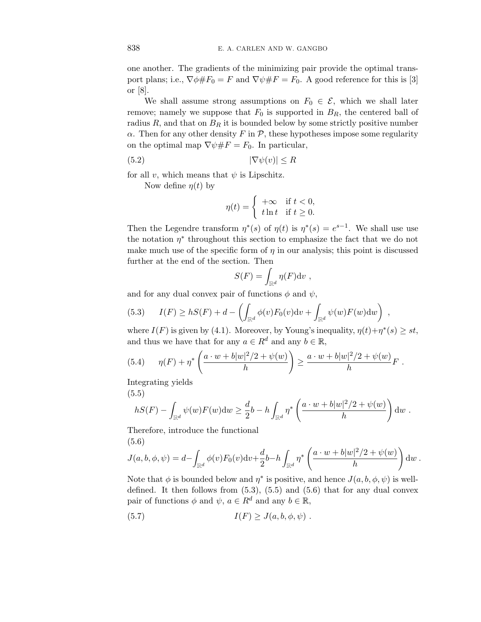one another. The gradients of the minimizing pair provide the optimal transport plans; i.e.,  $\nabla \phi \# F_0 = F$  and  $\nabla \psi \# F = F_0$ . A good reference for this is [3] or [8].

We shall assume strong assumptions on  $F_0 \in \mathcal{E}$ , which we shall later remove; namely we suppose that  $F_0$  is supported in  $B_R$ , the centered ball of radius  $R$ , and that on  $B_R$  it is bounded below by some strictly positive number *α*. Then for any other density  $F$  in  $\mathcal{P}$ , these hypotheses impose some regularity on the optimal map  $\nabla \psi \# F = F_0$ . In particular,

$$
(5.2) \t |\nabla \psi(v)| \le R
$$

for all *v*, which means that  $\psi$  is Lipschitz.

Now define  $\eta(t)$  by

$$
\eta(t) = \begin{cases} +\infty & \text{if } t < 0, \\ t \ln t & \text{if } t \ge 0. \end{cases}
$$

Then the Legendre transform  $\eta^*(s)$  of  $\eta(t)$  is  $\eta^*(s) = e^{s-1}$ . We shall use use the notation  $\eta^*$  throughout this section to emphasize the fact that we do not make much use of the specific form of  $\eta$  in our analysis; this point is discussed further at the end of the section. Then

$$
S(F) = \int_{\mathbb{R}^d} \eta(F) \mathrm{d} v \ ,
$$

and for any dual convex pair of functions  $\phi$  and  $\psi$ ,

(5.3) 
$$
I(F) \ge hS(F) + d - \left( \int_{\mathbb{R}^d} \phi(v) F_0(v) \mathrm{d}v + \int_{\mathbb{R}^d} \psi(w) F(w) \mathrm{d}w \right) ,
$$

where  $I(F)$  is given by (4.1). Moreover, by Young's inequality,  $\eta(t)+\eta^*(s) \geq st$ , and thus we have that for any  $a \in R^d$  and any  $b \in \mathbb{R}$ ,

(5.4) 
$$
\eta(F) + \eta^* \left( \frac{a \cdot w + b|w|^2/2 + \psi(w)}{h} \right) \geq \frac{a \cdot w + b|w|^2/2 + \psi(w)}{h} F.
$$

Integrating yields

(5.5)

$$
hS(F) - \int_{\mathbb{R}^d} \psi(w) F(w) \mathrm{d}w \ge \frac{d}{2}b - h \int_{\mathbb{R}^d} \eta^* \left( \frac{a \cdot w + b|w|^2/2 + \psi(w)}{h} \right) \mathrm{d}w.
$$

Therefore, introduce the functional (5.6)

$$
J(a,b,\phi,\psi) = d - \int_{\mathbb{R}^d} \phi(v) F_0(v) \mathrm{d}v + \frac{d}{2} b - h \int_{\mathbb{R}^d} \eta^* \left( \frac{a \cdot w + b|w|^2/2 + \psi(w)}{h} \right) \mathrm{d}w.
$$

Note that  $\phi$  is bounded below and  $\eta^*$  is positive, and hence  $J(a, b, \phi, \psi)$  is welldefined. It then follows from  $(5.3)$ ,  $(5.5)$  and  $(5.6)$  that for any dual convex pair of functions  $\phi$  and  $\psi$ ,  $a \in R^d$  and any  $b \in \mathbb{R}$ ,

$$
(5.7) \tI(F) \geq J(a, b, \phi, \psi) .
$$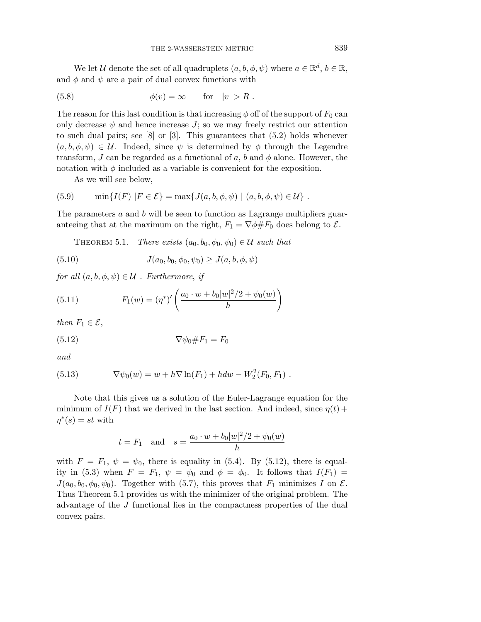We let *U* denote the set of all quadruplets  $(a, b, \phi, \psi)$  where  $a \in \mathbb{R}^d$ ,  $b \in \mathbb{R}$ , and  $\phi$  and  $\psi$  are a pair of dual convex functions with

(5.8) 
$$
\phi(v) = \infty \quad \text{for} \quad |v| > R .
$$

The reason for this last condition is that increasing  $\phi$  off of the support of  $F_0$  can only decrease  $\psi$  and hence increase  $J$ ; so we may freely restrict our attention to such dual pairs; see [8] or [3]. This guarantees that (5.2) holds whenever  $(a, b, \phi, \psi) \in \mathcal{U}$ . Indeed, since  $\psi$  is determined by  $\phi$  through the Legendre transform, *J* can be regarded as a functional of  $a$ ,  $b$  and  $\phi$  alone. However, the notation with  $\phi$  included as a variable is convenient for the exposition.

As we will see below,

(5.9) 
$$
\min\{I(F) | F \in \mathcal{E}\} = \max\{J(a, b, \phi, \psi) | (a, b, \phi, \psi) \in \mathcal{U}\}.
$$

The parameters *a* and *b* will be seen to function as Lagrange multipliers guaranteeing that at the maximum on the right,  $F_1 = \nabla \phi \# F_0$  does belong to  $\mathcal{E}$ .

THEOREM 5.1. There exists  $(a_0, b_0, \phi_0, \psi_0) \in \mathcal{U}$  such that

(5.10) 
$$
J(a_0, b_0, \phi_0, \psi_0) \geq J(a, b, \phi, \psi)
$$

for all  $(a, b, \phi, \psi) \in U$ . Furthermore, if

(5.11) 
$$
F_1(w) = (\eta^*)' \left( \frac{a_0 \cdot w + b_0 |w|^2 / 2 + \psi_0(w)}{h} \right)
$$

then  $F_1 \in \mathcal{E}$ ,

$$
\nabla \psi_0 \# F_1 = F_0
$$

and

(5.13) 
$$
\nabla \psi_0(w) = w + h \nabla \ln(F_1) + h dw - W_2^2(F_0, F_1) .
$$

Note that this gives us a solution of the Euler-Lagrange equation for the minimum of  $I(F)$  that we derived in the last section. And indeed, since  $\eta(t)$  +  $\eta^*(s) = st$  with

$$
t = F_1
$$
 and  $s = \frac{a_0 \cdot w + b_0 |w|^2 / 2 + \psi_0(w)}{h}$ 

with  $F = F_1$ ,  $\psi = \psi_0$ , there is equality in (5.4). By (5.12), there is equality in (5.3) when  $F = F_1$ ,  $\psi = \psi_0$  and  $\phi = \phi_0$ . It follows that  $I(F_1) =$  $J(a_0, b_0, \phi_0, \psi_0)$ . Together with (5.7), this proves that  $F_1$  minimizes *I* on  $\mathcal{E}$ . Thus Theorem 5.1 provides us with the minimizer of the original problem. The advantage of the *J* functional lies in the compactness properties of the dual convex pairs.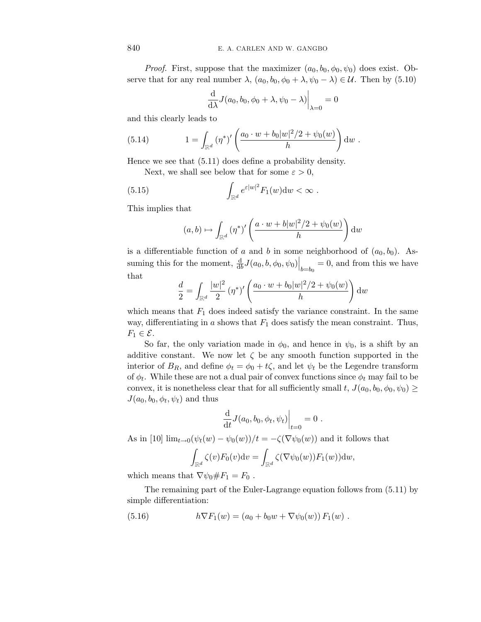*Proof.* First, suppose that the maximizer  $(a_0, b_0, \phi_0, \psi_0)$  does exist. Observe that for any real number  $\lambda$ ,  $(a_0, b_0, \phi_0 + \lambda, \psi_0 - \lambda) \in \mathcal{U}$ . Then by (5.10)

$$
\frac{\mathrm{d}}{\mathrm{d}\lambda}J(a_0, b_0, \phi_0 + \lambda, \psi_0 - \lambda)\bigg|_{\lambda=0} = 0
$$

and this clearly leads to

(5.14) 
$$
1 = \int_{\mathbb{R}^d} (\eta^*)' \left( \frac{a_0 \cdot w + b_0 |w|^2 / 2 + \psi_0(w)}{h} \right) dw.
$$

Hence we see that (5.11) does define a probability density.

Next, we shall see below that for some  $\varepsilon > 0$ ,

(5.15) 
$$
\int_{\mathbb{R}^d} e^{\varepsilon |w|^2} F_1(w) \mathrm{d} w < \infty \; .
$$

This implies that

$$
(a,b) \mapsto \int_{\mathbb{R}^d} (\eta^*)' \left( \frac{a \cdot w + b|w|^2/2 + \psi_0(w)}{h} \right) dw
$$

is a differentiable function of *a* and *b* in some neighborhood of  $(a_0, b_0)$ . Assuming this for the moment,  $\frac{d}{db}J(a_0, b, \phi_0, \psi_0)\Big|_{b=b_0} = 0$ , and from this we have that

$$
\frac{d}{2} = \int_{\mathbb{R}^d} \frac{|w|^2}{2} (\eta^*)' \left( \frac{a_0 \cdot w + b_0 |w|^2 / 2 + \psi_0(w)}{h} \right) dw
$$

which means that  $F_1$  does indeed satisfy the variance constraint. In the same way, differentiating in *a* shows that *F*<sup>1</sup> does satisfy the mean constraint. Thus,  $F_1 \in \mathcal{E}.$ 

So far, the only variation made in  $\phi_0$ , and hence in  $\psi_0$ , is a shift by an additive constant. We now let  $\zeta$  be any smooth function supported in the interior of  $B_R$ , and define  $\phi_t = \phi_0 + t\zeta$ , and let  $\psi_t$  be the Legendre transform of  $\phi_t$ . While these are not a dual pair of convex functions since  $\phi_t$  may fail to be convex, it is nonetheless clear that for all sufficiently small  $t$ ,  $J(a_0, b_0, \phi_0, \psi_0) \geq$  $J(a_0, b_0, \phi_t, \psi_t)$  and thus

$$
\frac{\mathrm{d}}{\mathrm{d}t} J(a_0, b_0, \phi_t, \psi_t) \Big|_{t=0} = 0.
$$

As in [10]  $\lim_{t\to 0}(\psi_t(w) - \psi_0(w))/t = -\zeta(\nabla \psi_0(w))$  and it follows that

$$
\int_{\mathbb{R}^d} \zeta(v) F_0(v) \mathrm{d}v = \int_{\mathbb{R}^d} \zeta(\nabla \psi_0(w)) F_1(w)) \mathrm{d}w,
$$

which means that  $\nabla \psi_0 \# F_1 = F_0$ .

The remaining part of the Euler-Lagrange equation follows from (5.11) by simple differentiation:

(5.16) 
$$
h \nabla F_1(w) = (a_0 + b_0 w + \nabla \psi_0(w)) F_1(w) .
$$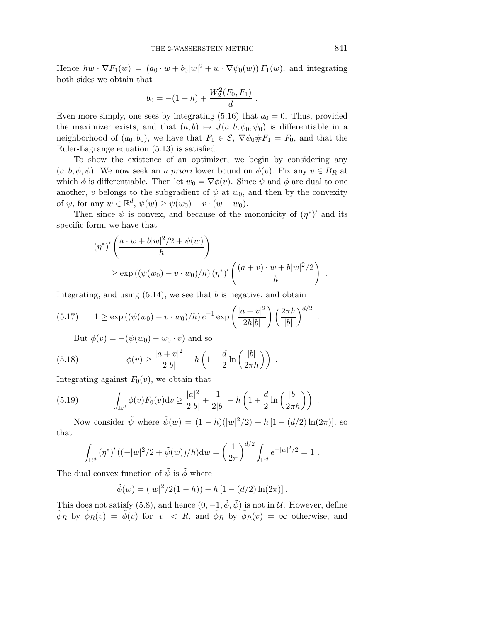Hence  $hw \cdot \nabla F_1(w) = (a_0 \cdot w + b_0|w|^2 + w \cdot \nabla \psi_0(w)) F_1(w)$ , and integrating both sides we obtain that

$$
b_0 = -(1+h) + \frac{W_2^2(F_0, F_1)}{d}.
$$

Even more simply, one sees by integrating  $(5.16)$  that  $a_0 = 0$ . Thus, provided the maximizer exists, and that  $(a, b) \mapsto J(a, b, \phi_0, \psi_0)$  is differentiable in a neighborhood of  $(a_0, b_0)$ , we have that  $F_1 \in \mathcal{E}$ ,  $\nabla \psi_0 \# F_1 = F_0$ , and that the Euler-Lagrange equation (5.13) is satisfied.

To show the existence of an optimizer, we begin by considering any  $(a, b, \phi, \psi)$ . We now seek an *a priori* lower bound on  $\phi(v)$ . Fix any  $v \in B_R$  at which  $\phi$  is differentiable. Then let  $w_0 = \nabla \phi(v)$ . Since  $\psi$  and  $\phi$  are dual to one another, *v* belongs to the subgradient of  $\psi$  at  $w_0$ , and then by the convexity of  $\psi$ , for any  $w \in \mathbb{R}^d$ ,  $\psi(w) \geq \psi(w_0) + v \cdot (w - w_0)$ .

Then since  $\psi$  is convex, and because of the mononicity of  $(\eta^*)'$  and its specific form, we have that

$$
(\eta^*)'\left(\frac{a\cdot w+b|w|^2/2+\psi(w)}{h}\right)
$$
  
\n
$$
\geq \exp((\psi(w_0)-v\cdot w_0)/h) (\eta^*)'\left(\frac{(a+v)\cdot w+b|w|^2/2}{h}\right).
$$

Integrating, and using (5.14), we see that *b* is negative, and obtain

(5.17) 
$$
1 \ge \exp((\psi(w_0) - v \cdot w_0)/h) e^{-1} \exp\left(\frac{|a+v|^2}{2h|b|}\right) \left(\frac{2\pi h}{|b|}\right)^{d/2}.
$$

But  $\phi(v) = -(\psi(w_0) - w_0 \cdot v)$  and so

(5.18) 
$$
\phi(v) \ge \frac{|a+v|^2}{2|b|} - h\left(1 + \frac{d}{2}\ln\left(\frac{|b|}{2\pi h}\right)\right) .
$$

Integrating against  $F_0(v)$ , we obtain that

(5.19) 
$$
\int_{\mathbb{R}^d} \phi(v) F_0(v) \mathrm{d}v \ge \frac{|a|^2}{2|b|} + \frac{1}{2|b|} - h\left(1 + \frac{d}{2} \ln\left(\frac{|b|}{2\pi h}\right)\right) .
$$

Now consider  $\tilde{\psi}$  where  $\tilde{\psi}(w) = (1 - h)(|w|^2/2) + h[1 - (d/2) \ln(2\pi)],$  so that

$$
\int_{\mathbb{R}^d} (\eta^*)' ((-|w|^2/2 + \tilde{\psi}(w))/h) \mathrm{d}w = \left(\frac{1}{2\pi}\right)^{d/2} \int_{\mathbb{R}^d} e^{-|w|^2/2} = 1.
$$

The dual convex function of  $\psi$  is  $\phi$  where

$$
\tilde{\phi}(w) = (|w|^2/2(1-h)) - h [1 - (d/2) \ln(2\pi)].
$$

This does not satisfy (5.8), and hence  $(0, -1, \tilde{\phi}, \tilde{\psi})$  is not in U. However, define  $\tilde{\phi}_R$  by  $\tilde{\phi}_R(v) = \tilde{\phi}(v)$  for  $|v| \le R$ , and  $\tilde{\phi}_R$  by  $\tilde{\phi}_R(v) = \infty$  otherwise, and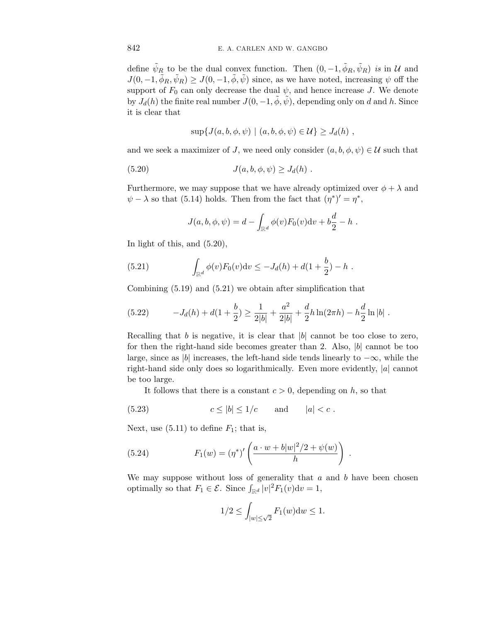define  $\tilde{\psi}_R$  to be the dual convex function. Then  $(0, -1, \tilde{\phi}_R, \tilde{\psi}_R)$  is in  $\mathcal{U}$  and  $J(0, -1, \tilde{\phi}_R, \tilde{\psi}_R) \geq J(0, -1, \tilde{\phi}, \tilde{\psi})$  since, as we have noted, increasing  $\psi$  off the support of  $F_0$  can only decrease the dual  $\psi$ , and hence increase *J*. We denote by  $J_d(h)$  the finite real number  $J(0, -1, \tilde{\phi}, \tilde{\psi})$ , depending only on *d* and *h*. Since it is clear that

$$
\sup\{J(a,b,\phi,\psi)\mid (a,b,\phi,\psi)\in\mathcal{U}\}\geq J_d(h) ,
$$

and we seek a maximizer of *J*, we need only consider  $(a, b, \phi, \psi) \in \mathcal{U}$  such that

$$
(5.20) \t\t J(a,b,\phi,\psi) \ge J_d(h) .
$$

Furthermore, we may suppose that we have already optimized over  $\phi + \lambda$  and  $\psi - \lambda$  so that (5.14) holds. Then from the fact that  $(\eta^*)' = \eta^*$ ,

$$
J(a, b, \phi, \psi) = d - \int_{\mathbb{R}^d} \phi(v) F_0(v) \mathrm{d}v + b \frac{d}{2} - h.
$$

In light of this, and (5.20),

(5.21) 
$$
\int_{\mathbb{R}^d} \phi(v) F_0(v) \mathrm{d}v \leq -J_d(h) + d(1+\frac{b}{2}) - h.
$$

Combining (5.19) and (5.21) we obtain after simplification that

(5.22) 
$$
-J_d(h) + d(1+\frac{b}{2}) \ge \frac{1}{2|b|} + \frac{a^2}{2|b|} + \frac{d}{2}h\ln(2\pi h) - h\frac{d}{2}\ln|b|.
$$

Recalling that  $b$  is negative, it is clear that  $|b|$  cannot be too close to zero, for then the right-hand side becomes greater than 2. Also, |*b*| cannot be too large, since as |*b*| increases, the left-hand side tends linearly to  $-\infty$ , while the right-hand side only does so logarithmically. Even more evidently, |*a*| cannot be too large.

It follows that there is a constant  $c > 0$ , depending on  $h$ , so that

$$
(5.23) \t\t c \le |b| \le 1/c \t and \t |a| < c.
$$

Next, use  $(5.11)$  to define  $F_1$ ; that is,

(5.24) 
$$
F_1(w) = (\eta^*)' \left( \frac{a \cdot w + b|w|^2/2 + \psi(w)}{h} \right) .
$$

We may suppose without loss of generality that *a* and *b* have been chosen optimally so that  $F_1 \in \mathcal{E}$ . Since  $\int_{\mathbb{R}^d} |v|^2 F_1(v) \mathrm{d}v = 1$ ,

$$
1/2 \le \int_{|w| \le \sqrt{2}} F_1(w) \mathrm{d}w \le 1.
$$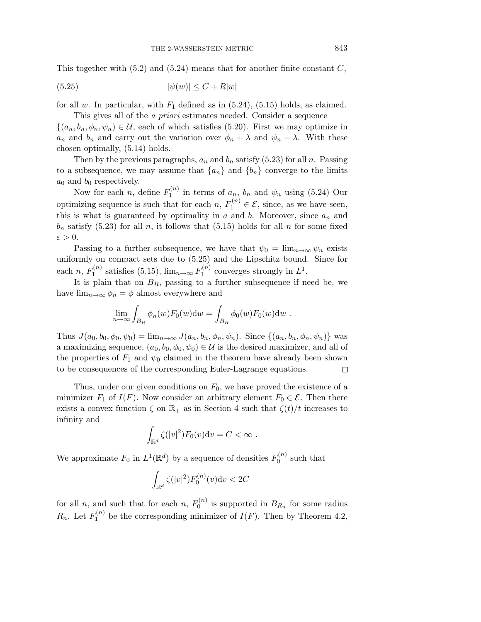This together with (5.2) and (5.24) means that for another finite constant *C*,

$$
(5.25) \qquad |\psi(w)| \le C + R|w|
$$

for all *w*. In particular, with  $F_1$  defined as in  $(5.24)$ ,  $(5.15)$  holds, as claimed. This gives all of the *a priori* estimates needed. Consider a sequence

 $\{(a_n, b_n, \phi_n, \psi_n) \in \mathcal{U}$ , each of which satisfies (5.20). First we may optimize in *a<sub>n</sub>* and *b<sub>n</sub>* and carry out the variation over  $\phi_n + \lambda$  and  $\psi_n - \lambda$ . With these chosen optimally, (5.14) holds.

Then by the previous paragraphs,  $a_n$  and  $b_n$  satisfy (5.23) for all *n*. Passing to a subsequence, we may assume that  ${a_n}$  and  ${b_n}$  converge to the limits *a*<sup>0</sup> and *b*<sup>0</sup> respectively.

Now for each *n*, define  $F_1^{(n)}$  in terms of  $a_n$ ,  $b_n$  and  $\psi_n$  using (5.24) Our optimizing sequence is such that for each  $n, F_1^{(n)} \in \mathcal{E}$ , since, as we have seen, this is what is guaranteed by optimality in  $a$  and  $b$ . Moreover, since  $a_n$  and  $b_n$  satisfy (5.23) for all *n*, it follows that (5.15) holds for all *n* for some fixed *ε >* 0.

Passing to a further subsequence, we have that  $\psi_0 = \lim_{n \to \infty} \psi_n$  exists uniformly on compact sets due to (5.25) and the Lipschitz bound. Since for each *n*,  $F_1^{(n)}$  satisfies (5.15),  $\lim_{n\to\infty} F_1^{(n)}$  converges strongly in  $L^1$ .

It is plain that on  $B_R$ , passing to a further subsequence if need be, we have  $\lim_{n\to\infty}\phi_n=\phi$  almost everywhere and

$$
\lim_{n \to \infty} \int_{B_R} \phi_n(w) F_0(w) \mathrm{d}w = \int_{B_R} \phi_0(w) F_0(w) \mathrm{d}w.
$$

Thus  $J(a_0, b_0, \phi_0, \psi_0) = \lim_{n \to \infty} J(a_n, b_n, \phi_n, \psi_n)$ . Since  $\{(a_n, b_n, \phi_n, \psi_n)\}\$  was a maximizing sequence,  $(a_0, b_0, \phi_0, \psi_0) \in \mathcal{U}$  is the desired maximizer, and all of the properties of  $F_1$  and  $\psi_0$  claimed in the theorem have already been shown to be consequences of the corresponding Euler-Lagrange equations.  $\Box$ 

Thus, under our given conditions on  $F_0$ , we have proved the existence of a minimizer  $F_1$  of  $I(F)$ . Now consider an arbitrary element  $F_0 \in \mathcal{E}$ . Then there exists a convex function  $\zeta$  on  $\mathbb{R}_+$  as in Section 4 such that  $\zeta(t)/t$  increases to infinity and

$$
\int_{\mathbb{R}^d} \zeta(|v|^2) F_0(v) \mathrm{d} v = C < \infty \; .
$$

We approximate  $F_0$  in  $L^1(\mathbb{R}^d)$  by a sequence of densities  $F_0^{(n)}$  such that

$$
\int_{\mathbb{R}^d} \zeta(|v|^2) F_0^{(n)}(v) \mathrm{d}v < 2C
$$

for all *n*, and such that for each *n*,  $F_0^{(n)}$  is supported in  $B_{R_n}$  for some radius  $R_n$ . Let  $F_1^{(n)}$  be the corresponding minimizer of  $I(F)$ . Then by Theorem 4.2,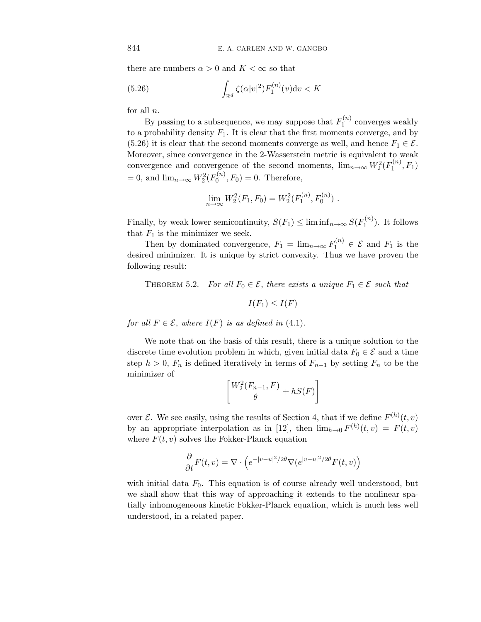there are numbers  $\alpha > 0$  and  $K < \infty$  so that

(5.26) 
$$
\int_{\mathbb{R}^d} \zeta(\alpha|v|^2) F_1^{(n)}(v) \mathrm{d}v < K
$$

for all *n*.

By passing to a subsequence, we may suppose that  $F_1^{(n)}$  converges weakly to a probability density  $F_1$ . It is clear that the first moments converge, and by (5.26) it is clear that the second moments converge as well, and hence  $F_1 \in \mathcal{E}$ . Moreover, since convergence in the 2-Wasserstein metric is equivalent to weak convergence and convergence of the second moments,  $\lim_{n\to\infty} W_2^2(F_1^{(n)}, F_1)$  $= 0$ , and  $\lim_{n \to \infty} W_2^2(F_0^{(n)}, F_0) = 0$ . Therefore,

$$
\lim_{n \to \infty} W_2^2(F_1, F_0) = W_2^2(F_1^{(n)}, F_0^{(n)}) \ .
$$

Finally, by weak lower semicontinuity,  $S(F_1) \leq \liminf_{n \to \infty} S(F_1^{(n)})$ . It follows that  $F_1$  is the minimizer we seek.

Then by dominated convergence,  $F_1 = \lim_{n \to \infty} F_1^{(n)} \in \mathcal{E}$  and  $F_1$  is the desired minimizer. It is unique by strict convexity. Thus we have proven the following result:

THEOREM 5.2. For all  $F_0 \in \mathcal{E}$ , there exists a unique  $F_1 \in \mathcal{E}$  such that

$$
I(F_1) \leq I(F)
$$

for all  $F \in \mathcal{E}$ , where  $I(F)$  is as defined in (4.1).

We note that on the basis of this result, there is a unique solution to the discrete time evolution problem in which, given initial data  $F_0 \in \mathcal{E}$  and a time step  $h > 0$ ,  $F_n$  is defined iteratively in terms of  $F_{n-1}$  by setting  $F_n$  to be the minimizer of

$$
\left[\frac{W_2^2(F_{n-1}, F)}{\theta} + hS(F)\right]
$$

over  $\mathcal{E}$ . We see easily, using the results of Section 4, that if we define  $F^{(h)}(t, v)$ by an appropriate interpolation as in [12], then  $\lim_{h\to 0} F^{(h)}(t,v) = F(t,v)$ where  $F(t, v)$  solves the Fokker-Planck equation

$$
\frac{\partial}{\partial t}F(t,v) = \nabla \cdot \left(e^{-|v-u|^2/2\theta}\nabla(e^{|v-u|^2/2\theta}F(t,v)\right)
$$

with initial data  $F_0$ . This equation is of course already well understood, but we shall show that this way of approaching it extends to the nonlinear spatially inhomogeneous kinetic Fokker-Planck equation, which is much less well understood, in a related paper.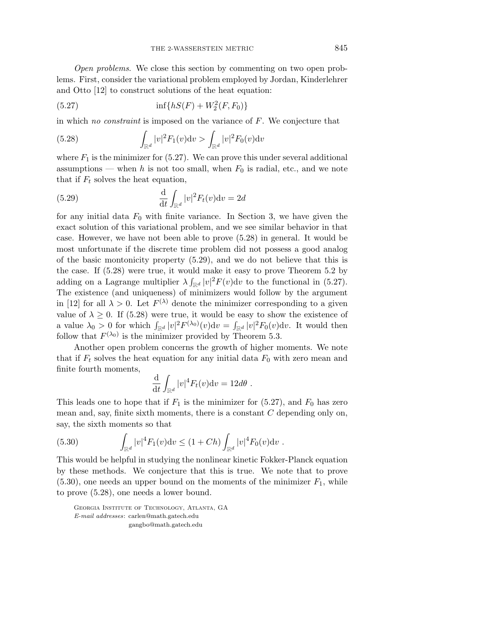Open problems. We close this section by commenting on two open problems. First, consider the variational problem employed by Jordan, Kinderlehrer and Otto [12] to construct solutions of the heat equation:

(5.27) 
$$
\inf\{hS(F) + W_2^2(F, F_0)\}\
$$

in which no constraint is imposed on the variance of *F*. We conjecture that

(5.28) 
$$
\int_{\mathbb{R}^d} |v|^2 F_1(v) dv > \int_{\mathbb{R}^d} |v|^2 F_0(v) dv
$$

where  $F_1$  is the minimizer for  $(5.27)$ . We can prove this under several additional assumptions — when *h* is not too small, when  $F_0$  is radial, etc., and we note that if  $F_t$  solves the heat equation,

(5.29) 
$$
\frac{\mathrm{d}}{\mathrm{d}t} \int_{\mathbb{R}^d} |v|^2 F_t(v) \mathrm{d}v = 2d
$$

for any initial data  $F_0$  with finite variance. In Section 3, we have given the exact solution of this variational problem, and we see similar behavior in that case. However, we have not been able to prove (5.28) in general. It would be most unfortunate if the discrete time problem did not possess a good analog of the basic montonicity property (5.29), and we do not believe that this is the case. If (5.28) were true, it would make it easy to prove Theorem 5.2 by adding on a Lagrange multiplier  $\lambda \int_{\mathbb{R}^d} |v|^2 F(v) dv$  to the functional in (5.27). The existence (and uniqueness) of minimizers would follow by the argument in [12] for all  $\lambda > 0$ . Let  $F^{(\lambda)}$  denote the minimizer corresponding to a given value of  $\lambda \geq 0$ . If (5.28) were true, it would be easy to show the existence of a value  $\lambda_0 > 0$  for which  $\int_{\mathbb{R}^d} |v|^2 F^{(\lambda_0)}(v) dv = \int_{\mathbb{R}^d} |v|^2 F_0(v) dv$ . It would then follow that  $F^{(\lambda_0)}$  is the minimizer provided by Theorem 5.3.

Another open problem concerns the growth of higher moments. We note that if  $F_t$  solves the heat equation for any initial data  $F_0$  with zero mean and finite fourth moments,

$$
\frac{\mathrm{d}}{\mathrm{d}t} \int_{\mathbb{R}^d} |v|^4 F_t(v) \mathrm{d}v = 12 d\theta.
$$

This leads one to hope that if  $F_1$  is the minimizer for  $(5.27)$ , and  $F_0$  has zero mean and, say, finite sixth moments, there is a constant *C* depending only on, say, the sixth moments so that

(5.30) 
$$
\int_{\mathbb{R}^d} |v|^4 F_1(v) \mathrm{d}v \le (1 + Ch) \int_{\mathbb{R}^d} |v|^4 F_0(v) \mathrm{d}v.
$$

This would be helpful in studying the nonlinear kinetic Fokker-Planck equation by these methods. We conjecture that this is true. We note that to prove  $(5.30)$ , one needs an upper bound on the moments of the minimizer  $F_1$ , while to prove (5.28), one needs a lower bound.

Georgia Institute of Technology, Atlanta, GA *E-mail addresses*: carlen@math.gatech.edu gangbo@math.gatech.edu